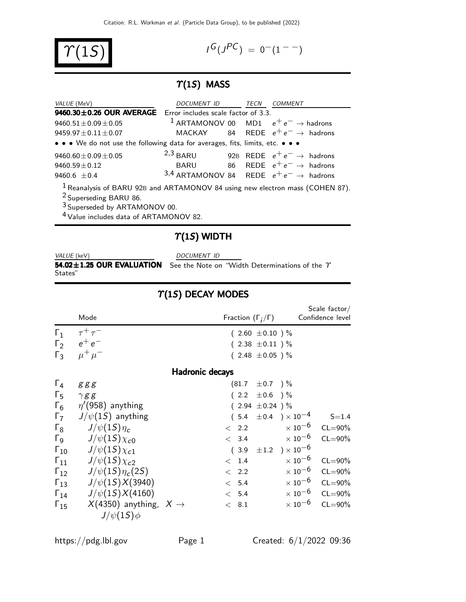$\Upsilon(1S)$ 

$$
I^G(J^{PC}) = 0^-(1^{--})
$$

# $T(1S)$  MASS

| VALUE (MeV)                                                                                                                                                                                                                                                                                                                                                                                                                                                                                            | DOCUMENT ID TECN |  | COMMENT                                                    |
|--------------------------------------------------------------------------------------------------------------------------------------------------------------------------------------------------------------------------------------------------------------------------------------------------------------------------------------------------------------------------------------------------------------------------------------------------------------------------------------------------------|------------------|--|------------------------------------------------------------|
| 9460.30±0.26 OUR AVERAGE Error includes scale factor of 3.3.                                                                                                                                                                                                                                                                                                                                                                                                                                           |                  |  |                                                            |
| $9460.51 \pm 0.09 \pm 0.05$                                                                                                                                                                                                                                                                                                                                                                                                                                                                            |                  |  | <sup>1</sup> ARTAMONOV 00 MD1 $e^+e^- \rightarrow$ hadrons |
| $9459.97 \pm 0.11 \pm 0.07$                                                                                                                                                                                                                                                                                                                                                                                                                                                                            |                  |  | MACKAY 84 REDE $e^+e^- \rightarrow$ hadrons                |
| • • • We do not use the following data for averages, fits, limits, etc. • • •                                                                                                                                                                                                                                                                                                                                                                                                                          |                  |  |                                                            |
| $9460.60 \pm 0.09 \pm 0.05$                                                                                                                                                                                                                                                                                                                                                                                                                                                                            |                  |  | 2,3 BARU 92B REDE $e^+e^- \rightarrow$ hadrons             |
| $9460.59 \pm 0.12$                                                                                                                                                                                                                                                                                                                                                                                                                                                                                     |                  |  | BARU 86 REDE $e^+e^- \rightarrow$ hadrons                  |
| $9460.6 + 0.4$                                                                                                                                                                                                                                                                                                                                                                                                                                                                                         |                  |  | 3,4 ARTAMONOV 84 REDE $e^+e^- \rightarrow$ hadrons         |
| $1$ Reanalysis of BARU 92B and ARTAMONOV 84 using new electron mass (COHEN 87).<br><sup>2</sup> Superseding BARU 86.<br><sup>3</sup> Superseded by ARTAMONOV 00.<br>$\overline{A}$ and $\overline{A}$ and $\overline{A}$ and $\overline{A}$ and $\overline{A}$ and $\overline{A}$ and $\overline{A}$ and $\overline{A}$ and $\overline{A}$ and $\overline{A}$ and $\overline{A}$ and $\overline{A}$ and $\overline{A}$ and $\overline{A}$ and $\overline{A}$ and $\overline{A}$ and $\overline{A}$ and |                  |  |                                                            |

4 Value includes data of ARTAMONOV 82.

# $\gamma$ (1S) WIDTH

| VALUE (keV)                     |  |
|---------------------------------|--|
| $54.02 \pm 1.25$ OUR EVALUATION |  |
| States"                         |  |

DOCUMENT ID

See the Note on "Width Determinations of the  $\Upsilon$ 

# $T(1S)$  DECAY MODES

|                       | Mode                                                    |  | Fraction $(\Gamma_i/\Gamma)$ |                                |                           |  | Scale factor $/$<br>Confidence level |  |  |  |  |
|-----------------------|---------------------------------------------------------|--|------------------------------|--------------------------------|---------------------------|--|--------------------------------------|--|--|--|--|
| $\Gamma_1$            | $\tau^+\tau^-$                                          |  |                              | $(2.60 \pm 0.10)$ %            |                           |  |                                      |  |  |  |  |
| $\Gamma_2$            | $e^+e^-$                                                |  |                              | $(2.38 \pm 0.11)$ %            |                           |  |                                      |  |  |  |  |
| $\Gamma_3$            | $\mu^+ \mu^-$                                           |  |                              | $(2.48 \pm 0.05)$ %            |                           |  |                                      |  |  |  |  |
|                       | <b>Hadronic decays</b>                                  |  |                              |                                |                           |  |                                      |  |  |  |  |
| $\Gamma_4$            | gggg                                                    |  |                              | $(81.7 \pm 0.7)$ %             |                           |  |                                      |  |  |  |  |
| $\Gamma_{5}$          | $\gamma$ g g                                            |  |                              | $(2.2 \pm 0.6)$ %              |                           |  |                                      |  |  |  |  |
| $\Gamma_6$            | $\eta'$ (958) anything                                  |  |                              | $(2.94 \pm 0.24)$ %            |                           |  |                                      |  |  |  |  |
| $\Gamma_7$            | $J/\psi(1S)$ anything                                   |  |                              | $(5.4 \pm 0.4) \times 10^{-4}$ |                           |  | $S = 1.4$                            |  |  |  |  |
| $\Gamma_8$            | $J/\psi(1S)\eta_c$                                      |  | $\langle$ 2.2                |                                | $\times$ 10 <sup>-6</sup> |  | $CL = 90\%$                          |  |  |  |  |
| $\Gamma_{\mathsf{Q}}$ | $J/\psi(1S)\chi_{c0}$                                   |  | < 3.4                        |                                | $\times$ 10 $^{-6}$       |  | $CL = 90\%$                          |  |  |  |  |
| $\Gamma_{10}$         | $J/\psi(1S)\chi_{c1}$                                   |  |                              | $(3.9 \pm 1.2) \times 10^{-6}$ |                           |  |                                      |  |  |  |  |
| $\Gamma_{11}$         | $J/\psi(15)\chi_{c2}$                                   |  | < 1.4                        |                                | $\times$ 10 $^{-6}$       |  | $CL = 90\%$                          |  |  |  |  |
| $\Gamma_{12}$         | $J/\psi(15)\eta_c(25)$                                  |  | $\langle$ 2.2                |                                | $\times$ 10 $^{-6}$       |  | $CL = 90\%$                          |  |  |  |  |
| $\Gamma_{13}$         | $J/\psi(15)X(3940)$                                     |  | < 5.4                        |                                | $\times$ 10 $^{-6}$       |  | $CL = 90\%$                          |  |  |  |  |
| $\Gamma_{14}$         | $J/\psi(1S)X(4160)$                                     |  | < 5.4                        |                                | $\times$ 10 $^{-6}$       |  | $CL = 90\%$                          |  |  |  |  |
| $\Gamma_{15}$         | $X(4350)$ anything, $X \rightarrow$<br>$J/\psi(1S)\phi$ |  | < 8.1                        |                                | $\times$ 10 $^{-6}$       |  | $CL = 90\%$                          |  |  |  |  |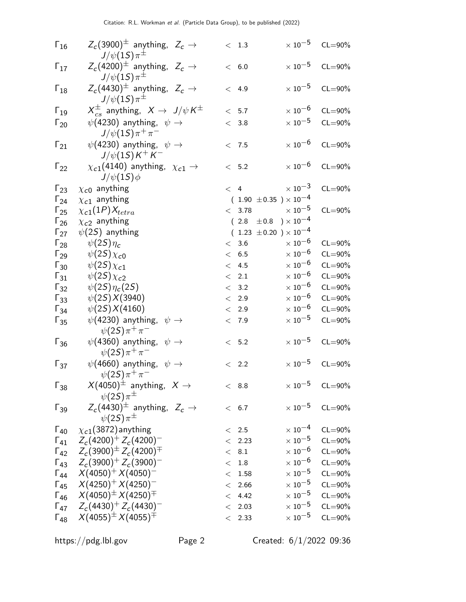| $\Gamma_{16}$ | $Z_c(3900)^{\pm}$ anything, $Z_c \rightarrow$<br>$J/\psi(1S)\pi^{\pm}$   |       | < 1.3             | $\times$ 10 $^{-5}$              | $CL = 90\%$ |
|---------------|--------------------------------------------------------------------------|-------|-------------------|----------------------------------|-------------|
| $\Gamma_{17}$ | $Z_c(4200)^{\pm}$ anything, $Z_c \rightarrow$<br>$J/\psi(1S)\pi^{\pm}$   |       | < 6.0             | $\times$ 10 $^{-5}$              | $CL = 90\%$ |
| $\Gamma_{18}$ | $Z_c(4430)^{\pm}$ anything, $Z_c \rightarrow$<br>$J/\psi(1S)\pi^{\pm}$   |       | < 4.9             | $\times$ 10 $^{-5}$              | $CL = 90\%$ |
| $\Gamma_{19}$ | $X_{cs}^{\pm}$ anything, $X \rightarrow J/\psi K^{\pm}$                  |       | < 5.7             | $\times$ 10 $^{-6}$              | $CL = 90\%$ |
| $\Gamma_{20}$ | $\psi$ (4230) anything, $\psi \rightarrow$<br>$J/\psi(1S)\pi^{+}\pi^{-}$ |       | $<\phantom{0}3.8$ | $\times$ 10 $^{-5}$              | $CL = 90\%$ |
| $\Gamma_{21}$ | $\psi$ (4230) anything, $\psi \rightarrow$<br>$J/\psi(15)K^{+}K^{-}$     |       | < 7.5             | $\times$ 10 $^{-6}$              | $CL = 90\%$ |
| $\Gamma_{22}$ | $\chi_{c1}(4140)$ anything, $\chi_{c1} \rightarrow$<br>$J/\psi(1S)\phi$  |       | < 5.2             | $\times$ 10 $^{-6}$              | $CL = 90\%$ |
| $\Gamma_{23}$ | $\chi_{c0}$ anything                                                     |       | < 4               | $\times$ 10 <sup>-3</sup>        | $CL = 90\%$ |
| $\Gamma_{24}$ | $\chi_{c1}$ anything                                                     |       |                   | $(1.90 \pm 0.35) \times 10^{-4}$ |             |
| $\Gamma_{25}$ | $\chi_{c1}(1P)X_{tetra}$                                                 |       | < 3.78            | $\times$ 10 $^{-5}$              | $CL = 90\%$ |
| $\Gamma_{26}$ | $\chi_{c2}$ anything                                                     |       |                   | $(2.8 \pm 0.8) \times 10^{-4}$   |             |
| $\Gamma_{27}$ | $\psi(2S)$ anything                                                      |       |                   | $(1.23 \pm 0.20) \times 10^{-4}$ |             |
| $\Gamma_{28}$ | $\psi(2S)\eta_c$                                                         |       | < 3.6             | $\times$ 10 $^{-6}$              | $CL = 90\%$ |
| $\Gamma_{29}$ | $\psi(2S)\chi_{c0}$                                                      |       | < 6.5             | $\times$ $10^{-6}$               | $CL = 90\%$ |
| $\Gamma_{30}$ | $\psi(2S)\chi_{c1}$                                                      |       | < 4.5             | $\times$ 10 $^{-6}$              | $CL = 90\%$ |
| $\Gamma_{31}$ | $\psi(2S)\chi_{c2}$                                                      |       | < 2.1             | $\times$ 10 $^{-6}$              | $CL = 90\%$ |
| $\Gamma_{32}$ | $\psi(2S)\eta_c(2S)$                                                     |       | < 3.2             | $\times$ 10 $^{-6}$              | $CL = 90\%$ |
| $\Gamma_{33}$ | $\psi(2S)X(3940)$                                                        |       | < 2.9             | $\times$ 10 $^{-6}$              | $CL = 90\%$ |
| $\Gamma_{34}$ | $\psi(2S)X(4160)$                                                        |       | < 2.9             | $\times$ 10 $^{-6}$              | $CL = 90\%$ |
| $\Gamma_{35}$ | $\psi(4230)$ anything, $\psi \rightarrow$<br>$\psi(2S)\pi^{+}\pi^{-}$    |       | < 7.9             | $\times$ 10 $^{-5}$              | $CL = 90\%$ |
| $\Gamma_{36}$ | $\psi$ (4360) anything, $\psi \rightarrow$<br>$\psi(2S)\pi^{+}\pi^{-}$   |       | < 5.2             | $\times$ 10 $^{-5}$              | $CL = 90\%$ |
| $\Gamma_{37}$ | $\psi(4660)$ anything, $\psi \rightarrow$<br>$\psi(2S)\pi^{+}\pi^{-}$    |       | < 2.2             | $\times$ 10 $^{-5}$              | $CL = 90\%$ |
| $\Gamma_{38}$ | $X(4050)^{\pm}$ anything, $X \rightarrow$<br>$\psi(2S)\pi^{\pm}$         |       | $<\phantom{0}8.8$ | $\times$ 10 $^{-5}$              | $CL = 90\%$ |
| $\Gamma_{39}$ | $Z_c(4430)^{\pm}$ anything, $Z_c \rightarrow$<br>$\psi(2S)\pi^{\pm}$     |       | < 6.7             | $\times$ 10 $^{-5}$              | $CL = 90\%$ |
| $\Gamma_{40}$ | $\chi_{c1}(3872)$ anything                                               |       | < 2.5             | $\times$ 10 $^{-4}$              | $CL = 90\%$ |
| $\Gamma_{41}$ | $Z_c(4200)^+ Z_c(4200)^-$                                                |       | < 2.23            | $\times$ 10 $^{-5}$              | $CL = 90\%$ |
| $\Gamma_{42}$ | $Z_c(3900)^{\pm} Z_c(4200)^{\mp}$                                        |       | < 8.1             | $\times$ 10 $^{-6}$              | $CL = 90\%$ |
| $\Gamma_{43}$ | $Z_c(3900)^+ Z_c(3900)^-$                                                |       | < 1.8             | $\times$ 10 $^{-6}$              | $CL = 90\%$ |
| $\Gamma_{44}$ | $X(4050)^{+} X(4050)^{-}$                                                | $\lt$ | 1.58              | $\times$ 10 $^{-5}$              | $CL = 90\%$ |
| $\Gamma_{45}$ | $X(4250)^{+} X(4250)^{-}$                                                |       | < 2.66            | $\times$ 10 $^{-5}$              | $CL = 90\%$ |
| $\Gamma_{46}$ | $X(4050)^{\pm} X(4250)^{\mp}$                                            |       | < 4.42            | $\times$ 10 $^{-5}$              | $CL = 90\%$ |
|               | $\Gamma_{47}$ $Z_c(4430)^+ Z_c(4430)^-$                                  |       | < 2.03            | $\times$ 10 $^{-5}$              | $CL = 90\%$ |
| $\Gamma_{48}$ | $X(4055)^{\pm} X(4055)^{\mp}$                                            |       | < 2.33            | $\times$ 10 $^{-5}$              | $CL = 90\%$ |
|               |                                                                          |       |                   |                                  |             |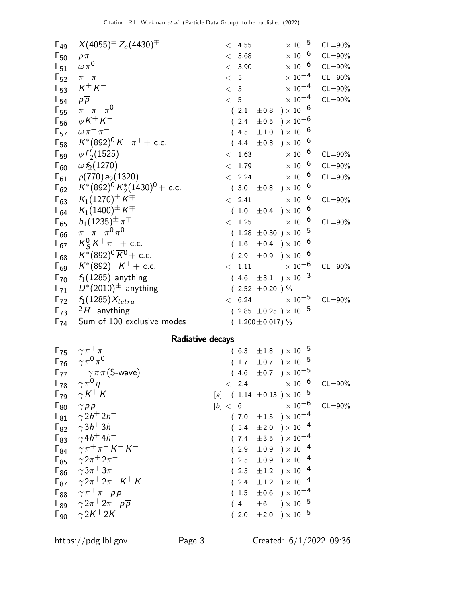| $\Gamma_{49}$ | $X(4055)^{\pm} Z_c(4430)^{\mp}$             | < 4.55                                                                                                                                                                                                                        | $\times$ 10 $^{-5}$   | $CL = 90\%$ |
|---------------|---------------------------------------------|-------------------------------------------------------------------------------------------------------------------------------------------------------------------------------------------------------------------------------|-----------------------|-------------|
| $\Gamma_{50}$ | $\rho \pi$                                  | < 3.68                                                                                                                                                                                                                        | $\times$ $10^{-6}$    | $CL = 90\%$ |
| $\Gamma_{51}$ | $\omega \pi^0$                              | < 3.90                                                                                                                                                                                                                        | $\times$ 10 $^{-6}$   | $CL = 90\%$ |
| $\Gamma_{52}$ | $\pi^+\pi^-$                                | < 5                                                                                                                                                                                                                           | $\times$ 10 $^{-4}$   | $CL = 90\%$ |
| $\Gamma_{53}$ | $K^+ K^-$                                   | < 5                                                                                                                                                                                                                           | $\times$ 10 $^{-4}$   | $CL = 90\%$ |
| $\Gamma_{54}$ | $p\overline{p}$                             | < 5                                                                                                                                                                                                                           | $\times$ 10 $^{-4}$   | $CL = 90\%$ |
| $\Gamma_{55}$ | $\pi^{+}\pi^{-}\pi^{0}$                     | $(2.1 \pm 0.8)$                                                                                                                                                                                                               | ) $\times$ 10 $^{-6}$ |             |
| $\Gamma_{56}$ | $\phi K^+ K^-$                              | $(2.4 \pm 0.5)$                                                                                                                                                                                                               | $)\times10^{-6}$      |             |
|               | $\Gamma_{57}$ $\omega \pi^+ \pi^-$          | $(4.5 \pm 1.0)$                                                                                                                                                                                                               | ) $\times$ 10 $^{-6}$ |             |
|               | $\Gamma_{58}$ $K^*(892)^0 K^- \pi^+ +$ c.c. | $(4.4 \pm 0.8) \times 10^{-6}$                                                                                                                                                                                                |                       |             |
| $\Gamma_{59}$ | $\phi f_2(1525)$                            | < 1.63                                                                                                                                                                                                                        | $\times$ 10 $^{-6}$   | $CL = 90\%$ |
| $\Gamma_{60}$ | $\omega f_2(1270)$                          | < 1.79                                                                                                                                                                                                                        | $\times$ 10 $^{-6}$   | $CL = 90\%$ |
| $\Gamma_{61}$ | $\rho(770) a_2(1320)$                       | < 2.24                                                                                                                                                                                                                        | $\times$ 10 $^{-6}$   | $CL = 90\%$ |
| $\Gamma_{62}$ | $K^*(892)^0\overline{K}_2^*(1430)^0$ + c.c. | $(3.0 \pm 0.8) \times 10^{-6}$                                                                                                                                                                                                |                       |             |
| $\Gamma_{63}$ | $K_1(1270)^{\pm} K^{\mp}$                   | < 2.41                                                                                                                                                                                                                        | $\times$ 10 $^{-6}$   | $CL = 90\%$ |
| $\Gamma_{64}$ | $K_1(1400)^{\pm} K^{\mp}$                   | $(1.0 \pm 0.4) \times 10^{-6}$                                                                                                                                                                                                |                       |             |
| $\Gamma_{65}$ | $b_1(1235)^{\pm} \pi^{\mp}$                 | < 1.25                                                                                                                                                                                                                        | $\times$ 10 $^{-6}$   | $CL = 90\%$ |
| $\Gamma_{66}$ | $\pi^{+}\pi^{-}\pi^{0}\pi^{0}$              | $(1.28 \pm 0.30) \times 10^{-5}$                                                                                                                                                                                              |                       |             |
| $\Gamma_{67}$ | $K_S^0 K^+ \pi^-$ + c.c.                    | $(1.6 \pm 0.4) \times 10^{-6}$                                                                                                                                                                                                |                       |             |
| $\Gamma_{68}$ | $K^*(892)^0 \overline{K}^0$ + c.c.          | $(2.9 \pm 0.9) \times 10^{-6}$                                                                                                                                                                                                |                       |             |
| $\Gamma_{69}$ | $K^*(892)^-K^+ +$ c.c.                      | $<$ 1.11 $<$ 1.11 $<$ 1.11 $<$ 1.11 $<$ 1.11 $<$ 1.11 $<$ 1.11 $<$ 1.11 $<$ 1.11 $<$ 1.11 $<$ 1.11 $<$ 1.11 $<$ 1.11 $<$ 1.11 $<$ 1.11 $<$ 1.11 $<$ 1.11 $<$ 1.11 $<$ 1.11 $<$ 1.11 $<$ 1.11 $<$ 1.11 $<$ 1.11 $<$ 1.11 $<$ 1 | $\times$ 10 $^{-6}$   | $CL = 90\%$ |
| $\Gamma_{70}$ | $f_1(1285)$ anything                        | $(4.6 \pm 3.1) \times 10^{-3}$                                                                                                                                                                                                |                       |             |
| $\Gamma_{71}$ | $D^*(2010)^{\pm}$ anything                  | $(2.52 \pm 0.20)$ %                                                                                                                                                                                                           |                       |             |
| $\Gamma_{72}$ | $f_1(1285)X_{tetra}$                        | < 6.24                                                                                                                                                                                                                        | $\times$ 10 $^{-5}$   | $CL = 90\%$ |
|               | $\Gamma_{73}$ <sup>2</sup> H anything       | $(2.85 \pm 0.25) \times 10^{-5}$                                                                                                                                                                                              |                       |             |
| $\Gamma_{74}$ | Sum of 100 exclusive modes                  | $(1.200 \pm 0.017)\%$                                                                                                                                                                                                         |                       |             |

#### Radiative decays

| $\Gamma_{75}$ $\gamma \pi^{+} \pi^{-}$             | $(6.3 \pm 1.8) \times 10^{-5}$              |             |
|----------------------------------------------------|---------------------------------------------|-------------|
| $\Gamma_{76}$ $\gamma \pi^0 \pi^0$                 | $(1.7 \pm 0.7) \times 10^{-5}$              |             |
| $\Gamma_{77}$ $\gamma \pi \pi$ (S-wave)            | $(4.6 \pm 0.7) \times 10^{-5}$              |             |
| $\Gamma_{78}$ $\gamma \pi^0 \eta$                  | $\times$ 10 $^{-6}$<br>$\langle$ 2.4        | $CL = 90\%$ |
| $\Gamma_{79}$ $\gamma K^{+} K^{-}$                 | [a] $(1.14 \pm 0.13) \times 10^{-5}$        |             |
| $\Gamma_{80}$ $\gamma p \overline{p}$              | $\times$ 10 <sup>-6</sup> CL=90%<br>[b] < 6 |             |
| $\Gamma_{81}$ $\gamma 2h^{+} 2h^{-}$               | $(7.0 \pm 1.5) \times 10^{-4}$              |             |
| $\Gamma_{82}$ $\gamma 3h^{+}3h^{-}$                | $(5.4 \pm 2.0) \times 10^{-4}$              |             |
| $\Gamma_{83}$ $\gamma 4h^{+} 4h^{-}$               | $(7.4 \pm 3.5) \times 10^{-4}$              |             |
| $\Gamma_{84}$ $\gamma \pi^+ \pi^- K^+ K^-$         | $(2.9 \pm 0.9) \times 10^{-4}$              |             |
| $\Gamma_{85}$ $\gamma 2\pi^+ 2\pi^-$               | $(2.5 \pm 0.9) \times 10^{-4}$              |             |
| $\Gamma_{86}$ $\gamma 3\pi^{+} 3\pi^{-}$           | $(2.5 \pm 1.2) \times 10^{-4}$              |             |
| $\Gamma_{87}$ $\gamma 2\pi^+ 2\pi^- K^+ K^-$       | $(2.4 \pm 1.2) \times 10^{-4}$              |             |
| $\Gamma_{88}$ $\gamma \pi^+ \pi^- p \overline{p}$  | $(1.5 \pm 0.6) \times 10^{-4}$              |             |
| $\Gamma_{89}$ $\gamma 2\pi^+ 2\pi^- p\overline{p}$ | $\pm 6$ ) $\times 10^{-5}$<br>(4)           |             |
| $\Gamma_{90}$ $\gamma 2K^+ 2K^-$                   | $(2.0 \pm 2.0) \times 10^{-5}$              |             |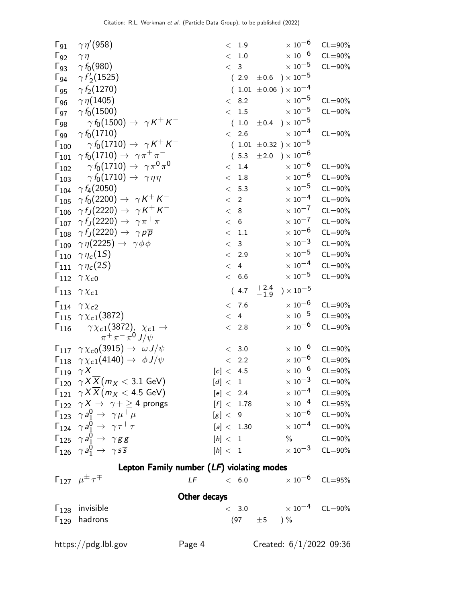| $\Gamma_{91}$          | $\gamma\eta'(958)$                                                  |                         |         | $\rm <$ $1.9$         |                   | $\times$ 10 <sup>-6</sup>        | $CL = 90\%$                      |
|------------------------|---------------------------------------------------------------------|-------------------------|---------|-----------------------|-------------------|----------------------------------|----------------------------------|
| $\Gamma_{92}$          | $\gamma\eta$                                                        |                         | $\lt$   | 1.0                   |                   | $\times$ $10^{-6}$               | $CL = 90\%$                      |
| $\Gamma_{93}$          | $\gamma f_0(980)$                                                   |                         |         | < 3                   |                   | $\times$ 10 <sup>-5</sup>        | $CL = 90\%$                      |
| $\Gamma_{94}$          | $\gamma f'_{2}(1525)$                                               |                         |         |                       |                   | $(2.9 \pm 0.6) \times 10^{-5}$   |                                  |
| $\Gamma$ <sub>95</sub> | $\gamma f_2(1270)$                                                  |                         |         |                       |                   | $(1.01 \pm 0.06) \times 10^{-4}$ |                                  |
| $\mathsf{\Gamma}_{96}$ | $\gamma\eta(1405)$                                                  |                         |         | < 8.2                 |                   | $\times$ 10 $^{-5}$              | $CL = 90\%$                      |
| $\Gamma_{97}$          | $\gamma f_0(1500)$                                                  |                         |         | < 1.5                 |                   | $\times$ 10 $^{-5}$              | $CL = 90\%$                      |
| $\mathsf{\Gamma}_{98}$ | $\gamma f_0(1500) \rightarrow \gamma K^+ K^-$                       |                         |         | (1.0)                 |                   | $\pm 0.4$ ) $\times 10^{-5}$     |                                  |
| $\Gamma$ 99            | $\gamma f_0(1710)$                                                  |                         | $\leq$  | 2.6                   |                   | $\times$ $10^{-4}$               | $CL = 90\%$                      |
| $\Gamma_{100}$         | $\gamma f_0(1710) \rightarrow \gamma K^+ K^-$                       |                         |         |                       |                   | $(1.01 \pm 0.32) \times 10^{-5}$ |                                  |
| $\Gamma_{101}$         | $\gamma f_0(1710) \rightarrow \gamma \pi^+ \pi^-$                   |                         |         | (5.3)                 |                   | $\pm 2.0$ ) $\times 10^{-6}$     |                                  |
| $\Gamma_{102}$         | $\gamma\,f_0(1710)\rightarrow\;\gamma\,\pi^0\,\pi^0$                |                         | $\lt$   | 1.4                   |                   | $\times$ 10 <sup>-6</sup>        | $CL = 90\%$                      |
| $\Gamma_{103}$         | $\gamma\,f_0(1710)\rightarrow\ \gamma\,\eta\,\eta$                  |                         | $\lt$   | 1.8                   |                   | $\times$ 10 <sup>-6</sup>        | $CL = 90\%$                      |
|                        | $\Gamma_{104}$ $\gamma f_4(2050)$                                   |                         |         | < 5.3                 |                   | $\times$ 10 $^{-5}$              | $CL = 90\%$                      |
|                        | $\Gamma_{105}$ $\gamma f_0(2200) \rightarrow \gamma K^+ K^-$        |                         | < 2     |                       |                   | $\times$ 10 <sup>-4</sup>        | $CL = 90\%$                      |
|                        | $\Gamma_{106}$ $\gamma f_J(2220) \rightarrow \gamma K^+ K^-$        |                         | < 8     |                       |                   | $\times$ 10 <sup>-7</sup>        | $CL = 90\%$                      |
|                        | $\Gamma_{107}$ $\gamma f_J(2220) \rightarrow \gamma \pi^+ \pi^-$    |                         | < 6     |                       |                   | $\times$ $10^{-7}$               | $CL = 90\%$                      |
|                        | $\Gamma_{108}$ $\gamma f_J(2220) \rightarrow \gamma p \overline{p}$ |                         | $\lt$   | 1.1                   |                   | $\times$ 10 <sup>-6</sup>        | $CL = 90\%$                      |
|                        | $\Gamma_{109}$ $\gamma \eta(2225) \rightarrow \gamma \phi \phi$     |                         | $\lt$   | $\mathbf{3}$          |                   | $\times$ $10^{-3}$               | $CL = 90\%$                      |
|                        |                                                                     |                         |         |                       |                   | $\times$ 10 $^{-5}$              |                                  |
|                        | $\Gamma_{110}$ $\gamma \eta_c(15)$                                  |                         |         | $< 2.9$               |                   |                                  | $CL = 90\%$                      |
|                        | $\Gamma_{111}$ $\gamma\eta_c(2S)$                                   |                         | < 4     |                       |                   | $\times$ 10 $^{-4}$              | $CL = 90\%$                      |
| $\Gamma_{112}$         | $\gamma \chi_{c0}$                                                  |                         |         | < 6.6                 |                   | $\times$ 10 $^{-5}$              | $CL = 90\%$                      |
|                        | $\Gamma_{113}$ $\gamma \chi_{c1}$                                   |                         |         | (4.7)                 | $^{+2.4}_{-1.9}$  | ) $\times$ $10^{-5}$             |                                  |
| $\Gamma_{114}$         | $\gamma \chi_{c2}$                                                  |                         |         | < 7.6                 |                   | $\times$ 10 <sup>-6</sup>        | $CL = 90\%$                      |
| $\Gamma_{115}$         | $\gamma \chi_{c1}(3872)$                                            |                         | $\leq$  | $\overline{4}$        |                   | $\times$ $10^{-5}$               | $CL = 90\%$                      |
| $\Gamma_{116}$         | $\gamma \chi_{c1}(3872)$ , $\chi_{c1} \to$                          |                         |         | $< 2.8$               |                   | $\times$ $10^{-6}$               | $CL = 90\%$                      |
|                        | $\pi^+\pi^-\pi^0 J/\psi$                                            |                         |         |                       |                   |                                  |                                  |
|                        | $\Gamma_{117}$ $\gamma \chi_{c0}(3915) \rightarrow \omega J/\psi$   |                         |         | $<\phantom{0}3.0$     |                   | $\times$ 10 $^{-6}$              | $CL = 90\%$                      |
|                        | $\Gamma_{118}$ $\gamma \chi_{c1}(4140) \rightarrow \phi J/\psi$     |                         |         | < 2.2                 |                   | $\times$ 10 $^{-6}$              | $CL = 90\%$                      |
| $\Gamma_{119}$         | $\gamma X$                                                          |                         |         | [c] < 4.5             |                   | $\times$ 10 $^{-6}$              | $CL = 90\%$                      |
|                        | $\Gamma_{120}$ $\gamma X \overline{X}$ ( $m_X < 3.1$ GeV)           |                         |         | $\lceil d \rceil < 1$ |                   | $\times$ 10 $^{-3}$              | $CL = 90\%$                      |
|                        | $\Gamma_{121}$ $\gamma X \overline{X}$ ( $m_X$ < 4.5 GeV)           |                         |         | [e] < 2.4             |                   | $\times$ 10 $^{-4}$              | $CL = 90\%$                      |
|                        | $\Gamma_{122}$ $\gamma X \rightarrow \gamma + \geq 4$ prongs        |                         |         | [f] < 1.78            |                   |                                  | $\times 10^{-4}$ CL=95%          |
|                        | $\Gamma_{123}$ $\gamma a_1^0 \rightarrow \gamma \mu^+ \mu^-$        |                         | [g] < 9 |                       |                   |                                  | $\times 10^{-6}$ CL=90%          |
|                        | $\Gamma_{124}$ $\gamma a_1^0 \rightarrow \gamma \tau^+ \tau^-$      |                         |         | [a] < 1.30            |                   |                                  | $\times 10^{-4}$ CL=90%          |
|                        | $\Gamma_{125}$ $\gamma a_1^0 \rightarrow \gamma g g$                |                         | [h] < 1 |                       |                   | $\%$                             | $CL = 90\%$                      |
|                        | $\Gamma_{126}$ $\gamma a_1^0 \rightarrow \gamma s \overline{s}$     |                         |         | [h] < 1               |                   | $\times$ 10 $^{-3}$              | $CL = 90\%$                      |
|                        |                                                                     |                         |         |                       |                   |                                  |                                  |
|                        | Lepton Family number $(LF)$ violating modes                         |                         |         |                       |                   |                                  |                                  |
|                        | $\Gamma_{127}$ $\mu^{\pm} \tau^{\mp}$                               | $LF$ and $\overline{r}$ |         |                       | < 6.0             |                                  | $\times$ 10 <sup>-6</sup> CL=95% |
|                        |                                                                     | Other decays            |         |                       |                   |                                  |                                  |
|                        | $\Gamma_{128}$ invisible                                            |                         |         |                       |                   | $< 3.0$ $\times 10^{-4}$ CL=90%  |                                  |
|                        | $\Gamma_{129}$ hadrons                                              |                         |         |                       | $(97 \t\pm 5) \%$ |                                  |                                  |
|                        |                                                                     |                         |         |                       |                   |                                  |                                  |
|                        | https://pdg.lbl.gov                                                 | Page 4                  |         |                       |                   | Created: $6/1/2022$ 09:36        |                                  |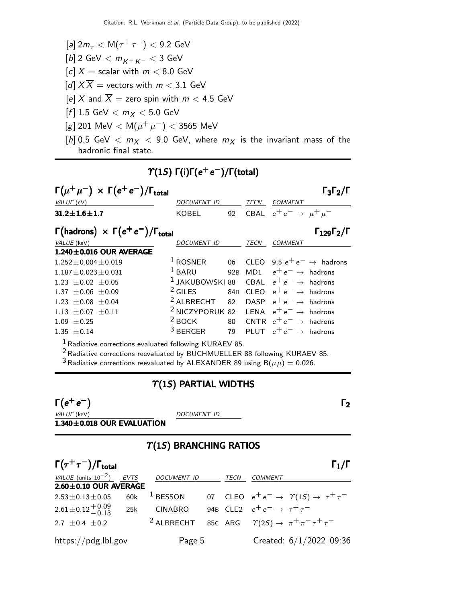- $[a]$   $2m_{\tau}$   $<$   $\mathsf{M}(\tau^{+}\,\tau^{-})$   $<$   $9.2$   $\mathsf{GeV}$  $[b]$  2 GeV  $< m_{K^+K^-} < 3$  GeV  $[c] X = \text{scalar with } m < 8.0 \text{ GeV}$ [d]  $X \overline{X}$  = vectors with  $m < 3.1$  GeV [e] X and  $\overline{X}$  = zero spin with  $m < 4.5$  GeV [*f*] 1.5 GeV  $< m_X < 5.0$  GeV  $[g]$  201 MeV  $<$  M $(\mu^+ \mu^-)$   $<$  3565 MeV
- [h] 0.5 GeV  $< m_X < 9.0$  GeV, where  $m_X$  is the invariant mass of the hadronic final state.

# $T(1S)$  Γ(i)Γ( $e^+e^-$ )/Γ(total)

| $\Gamma(\mu^+\mu^-) \times \Gamma(e^+e^-)/\Gamma_{\text{total}}$<br>VALUE (eV) | <b>DOCUMENT ID</b>         |                 | <b>TECN</b> | <b>COMMENT</b>                                | $\Gamma_3\Gamma_2/\Gamma$                |
|--------------------------------------------------------------------------------|----------------------------|-----------------|-------------|-----------------------------------------------|------------------------------------------|
| $31.2 \pm 1.6 \pm 1.7$                                                         | KOBEL                      | 92              |             | CBAL $e^+e^- \rightarrow \mu^+\mu^-$          |                                          |
| $\Gamma$ (hadrons) $\times \Gamma(e^+e^-)/\Gamma_{\text{total}}$               |                            |                 |             |                                               | $\Gamma_{129}\Gamma_{2}/\Gamma$          |
| VALUE (keV)                                                                    | DOCUMENT ID                |                 | <b>TECN</b> | <b>COMMENT</b>                                |                                          |
| $1.240 \pm 0.016$ OUR AVERAGE                                                  |                            |                 |             |                                               |                                          |
| $1.252 + 0.004 + 0.019$                                                        | $1$ ROSNER                 |                 |             |                                               | 06 CLEO 9.5 $e^+e^- \rightarrow$ hadrons |
| $1.187 \pm 0.023 \pm 0.031$                                                    | $1$ BARU 92B               |                 |             | MD1 $e^+e^- \rightarrow$ hadrons              |                                          |
| $1.23 \pm 0.02 \pm 0.05$                                                       | $1$ JAKUBOWSKI 88          |                 |             | CBAL $e^+e^- \rightarrow$ hadrons             |                                          |
| $1.37 \pm 0.06 \pm 0.09$                                                       | <sup>2</sup> GILES         | 84 <sub>B</sub> |             | CLEO $e^+e^- \rightarrow$ hadrons             |                                          |
| $1.23 \pm 0.08 \pm 0.04$                                                       | <sup>2</sup> ALBRECHT      | 82              |             | DASP $e^+e^- \rightarrow$ hadrons             |                                          |
| 1.13 $\pm$ 0.07 $\pm$ 0.11                                                     | <sup>2</sup> NICZYPORUK 82 |                 |             | <b>LENA</b> $e^+e^- \rightarrow$ hadrons      |                                          |
| $1.09 + 0.25$                                                                  | $2$ BOCK                   |                 |             | 80 $\text{CNTR}$ $e^+e^- \rightarrow$ hadrons |                                          |
| $1.35 \pm 0.14$                                                                | $3$ BERGER                 |                 |             | 79 PLUT $e^+e^- \rightarrow$ hadrons          |                                          |
| - 1                                                                            |                            |                 |             |                                               |                                          |

 $1$  Radiative corrections evaluated following KURAEV 85.

2Radiative corrections reevaluated by BUCHMUELLER 88 following KURAEV 85.

<sup>3</sup> Radiative corrections reevaluated by ALEXANDER 89 using  $B(\mu \mu) = 0.026$ .

 $\Upsilon(15)$  PARTIAL WIDTHS

 $\Gamma(e^+e^-)$  Γ<sub>2</sub>  $(e<sup>+</sup>e<sup>-</sup>)$  Γ<sub>2</sub>

VALUE (keV) DOCUMENT ID

 $1.340\pm0.018$  OUR EVALUATION

#### $\Upsilon(1S)$  BRANCHING RATIOS

| $\Gamma(\tau^+\tau^-)/\Gamma_{\rm total}$                   |     |                       |      |                                            | $\Gamma_1/\Gamma$                                                |
|-------------------------------------------------------------|-----|-----------------------|------|--------------------------------------------|------------------------------------------------------------------|
| VALUE (units $10^{-2}$ ) EVTS                               |     | DOCUMENT ID           | TECN | <b>COMMENT</b>                             |                                                                  |
| $2.60 \pm 0.10$ OUR AVERAGE                                 |     |                       |      |                                            |                                                                  |
| $2.53 \pm 0.13 \pm 0.05$                                    | 60k | $^1$ BESSON           |      |                                            | 07 CLEO $e^+e^- \rightarrow \gamma(1S) \rightarrow \tau^+\tau^-$ |
| $2.61 \pm 0.12 \begin{array}{c} +0.09 \\ -0.13 \end{array}$ | 25k | CINABRO               |      | 94B CLE2 $e^+e^- \rightarrow \tau^+\tau^-$ |                                                                  |
| 2.7 $\pm$ 0.4 $\pm$ 0.2                                     |     | <sup>2</sup> ALBRECHT |      |                                            | 85C ARG $\gamma(2S) \rightarrow \pi^+ \pi^- \tau^+ \tau^-$       |
| $\frac{https://pdg.1b1.gov}{%$                              |     | Page 5                |      |                                            | Created: $6/1/2022$ 09:36                                        |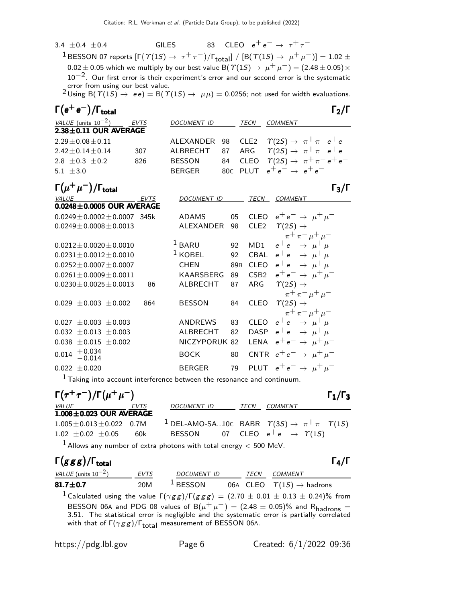3.4 ±0.4 ±0.4 GILES 83 CLEO  $e^+e^- \rightarrow \tau^+\tau^-$ <sup>1</sup> BESSON 07 reports [Γ $(\Upsilon(1S) \rightarrow \tau^+ \tau^-)/\Gamma_{\rm total}$ ] / [Β $(\Upsilon(1S) \rightarrow \mu^+ \mu^-)$ ] = 1.02 ±  $0.02 \pm 0.05$  which we multiply by our best value B( $\Upsilon(1S) \rightarrow \mu^+ \mu^-) = (2.48 \pm 0.05) \times$  $10^{-2}$ . Our first error is their experiment's error and our second error is the systematic error from using our best value.

2 Using B( $\Upsilon(1S) \rightarrow ee$ ) = B( $\Upsilon(1S) \rightarrow \mu\mu$ ) = 0.0256; not used for width evaluations.

| $\Gamma(e^+e^-)/\Gamma_{\rm total}$     |             |                    |    |             |                                      | $\Gamma_2/\Gamma$                              |
|-----------------------------------------|-------------|--------------------|----|-------------|--------------------------------------|------------------------------------------------|
| VALUE (units $10^{-2}$ )                | <b>EVTS</b> | <b>DOCUMENT ID</b> |    | <b>TECN</b> | COMMENT                              |                                                |
| $2.38 \pm 0.11$ OUR AVERAGE             |             |                    |    |             |                                      |                                                |
| $2.29 \pm 0.08 \pm 0.11$                |             | ALEXANDER          |    |             |                                      | 98 CLE2 $\Upsilon(2S) \to \pi^+ \pi^- e^+ e^-$ |
| $2.42 + 0.14 + 0.14$                    | 307         | ALBRECHT           | 87 |             |                                      | ARG $\tau(2S) \rightarrow \pi^+\pi^-e^+e^-$    |
| 2.8 $\pm$ 0.3 $\pm$ 0.2                 | 826         | <b>BESSON</b>      |    | 84 CLEO     |                                      | $\gamma(2S) \rightarrow \pi^+\pi^-e^+e^-$      |
| 5.1 $\pm 3.0$                           |             | <b>BERGER</b>      |    |             | 80c PLUT $e^+e^- \rightarrow e^+e^-$ |                                                |
| $\Gamma(\mu^+\mu^-)/\Gamma_{\rm total}$ |             |                    |    |             |                                      | $\Gamma_3/\Gamma$                              |
| <b>VALUE</b>                            |             | <i>DOCUMENT ID</i> |    | TECN        | COMMENT                              |                                                |

| 345k | <b>ADAMS</b>                      | 05                    | <b>CLEO</b>      | $e^+e^- \rightarrow \mu^+\mu^-$      |
|------|-----------------------------------|-----------------------|------------------|--------------------------------------|
|      | <b>ALEXANDER</b>                  | 98                    | CLE <sub>2</sub> | $\Upsilon(2S) \rightarrow$           |
|      |                                   |                       |                  | $\pi^+ \pi^- \mu^+ \mu^-$            |
|      |                                   | 92                    | MD1              | $e^+e^- \rightarrow \mu^+\mu^-$      |
|      |                                   | 92                    | <b>CBAL</b>      | $e^+e^- \rightarrow \mu^+\mu^-$      |
|      | <b>CHEN</b>                       | 89 <sub>B</sub>       | <b>CLEO</b>      | $e^+e^- \rightarrow \mu^+\mu^-$      |
|      | KAARSBERG                         | 89                    | CSB <sub>2</sub> | $e^+e^- \rightarrow \mu^+\mu^-$      |
| 86   | ALBRECHT                          | 87                    | ARG              | $\Upsilon(2S) \rightarrow$           |
|      |                                   |                       |                  | $\pi^+ \pi^- \mu^+ \mu^-$            |
| 864  | <b>BESSON</b>                     | 84                    | CLEO             | $\Upsilon(2S) \rightarrow$           |
|      |                                   |                       |                  | $\pi^+\pi^-\,\mu^+\mu^-$             |
|      | <b>ANDREWS</b>                    | 83                    |                  | CLEO $e^+e^- \rightarrow \mu^+\mu^-$ |
|      | <b>ALBRECHT</b>                   | 82                    |                  | DASP $e^+e^- \rightarrow \mu^+\mu^-$ |
|      |                                   |                       | LENA             | $e^+e^- \rightarrow \mu^+\mu^-$      |
|      | <b>BOCK</b>                       | 80                    |                  | CNTR $e^+e^- \rightarrow \mu^+\mu^-$ |
|      | <b>BERGER</b>                     | 79                    |                  | PLUT $e^+e^- \rightarrow \mu^+\mu^-$ |
|      | $0.0248\!\pm\!0.0005$ OUR AVERAGE | $1$ BARU<br>$1$ KOBEL | NICZYPORUK 82    |                                      |

 $<sup>1</sup>$  Taking into account interference between the resonance and continuum.</sup>

| $\Gamma(\tau^+\tau^-)/\Gamma(\mu^+\mu^-)$                                      |      |                                                                                    |      |         | $\Gamma_1/\Gamma_3$ |
|--------------------------------------------------------------------------------|------|------------------------------------------------------------------------------------|------|---------|---------------------|
| <i>VALUE</i>                                                                   | EVTS | DOCUMENT ID                                                                        | TECN | COMMENT |                     |
| $1.008 \pm 0.023$ OUR AVERAGE                                                  |      |                                                                                    |      |         |                     |
| $1.005 \pm 0.013 \pm 0.022$ 0.7M                                               |      | <sup>1</sup> DEL-AMO-SA10C BABR $\Upsilon(35) \rightarrow \pi^+\pi^- \Upsilon(15)$ |      |         |                     |
| $1.02 \pm 0.02 \pm 0.05$                                                       | 60k  | BESSON 07 CLEO $e^+e^- \rightarrow \Upsilon(1S)$                                   |      |         |                     |
| <sup>1</sup> Allows any number of extra photons with total energy $<$ 500 MeV. |      |                                                                                    |      |         |                     |

 $\Gamma(ggg)/\Gamma_{\rm total}$  Γ<sub>4</sub>/Γ /Γtotal Γ4/Γ VALUE (units  $10^{-2}$ ) EVTS DOCUMENT ID TECN COMMENT **81.7** $\pm$ **0.7** 20M <sup>1</sup> BESSON 06A CLEO  $\varUpsilon(1S) \rightarrow$  hadrons <sup>1</sup> Calculated using the value  $\Gamma(\gamma gg)/\Gamma(ggg) = (2.70 \pm 0.01 \pm 0.13 \pm 0.24)\%$  from BESSON 06A and PDG 08 values of  $B(\mu^+ \mu^-) = (2.48 \pm 0.05)\%$  and  $R_{\text{hadrons}} = 3.51$ . The statistical error is negligible and the systematic error is partially correlated with that of  $\Gamma(\gamma g\,g)/\Gamma_{\rm total}$  measurement of BESSON 06A.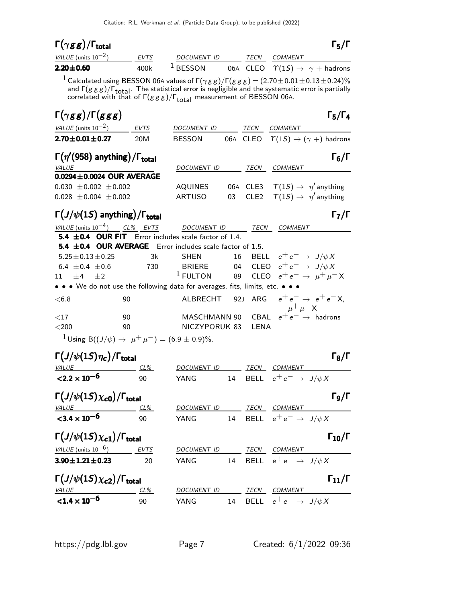| $\Gamma(\gamma gg)/\Gamma_{\rm total}$ |      |                     |             |                | $\Gamma_5/\Gamma$                                    |
|----------------------------------------|------|---------------------|-------------|----------------|------------------------------------------------------|
| VALUE (units $10^{-2}$ )               | EVTS | <i>DOCUMENT ID</i>  | <b>TFCN</b> | <i>COMMENT</i> |                                                      |
| $2.20\pm0.60$                          | 400k | <sup>1</sup> BESSON |             |                | 06A CLEO $\Upsilon(1S) \rightarrow \gamma +$ hadrons |

 $^1$  Calculated using BESSON 06A values of  $\Gamma(\gamma g \, g)/\Gamma(g \, g \, g) = (2.70 \pm 0.01 \pm 0.13 \pm 0.24)\%$ and  $\Gamma(g\,g\,g)/\Gamma_{\rm total}$ . The statistical error is negligible and the systematic error is partially correlated with that of  $\Gamma(g\,g\,g)/\Gamma_{\rm total}$  measurement of BESSON 06A.

| $\Gamma(\gamma gg)/\Gamma(ggg)$                                                    |     |               |    |             | $\Gamma_5/\Gamma_4$                                                                                |
|------------------------------------------------------------------------------------|-----|---------------|----|-------------|----------------------------------------------------------------------------------------------------|
| VALUE (units $10^{-2}$ ) EVTS                                                      |     | DOCUMENT ID   |    | TECN        | COMMENT                                                                                            |
| $2.70 \pm 0.01 \pm 0.27$                                                           | 20M | <b>BESSON</b> |    |             | 06A CLEO $\Upsilon(1S) \rightarrow (\gamma +)$ hadrons                                             |
| $\Gamma(\eta'(958)$ anything)/ $\Gamma_{total}$                                    |     |               |    |             | $\Gamma_6/\Gamma$                                                                                  |
| VALUE                                                                              |     | DOCUMENT ID   |    | TECN        | COMMENT                                                                                            |
| $0.0294 \pm 0.0024$ OUR AVERAGE                                                    |     |               |    |             |                                                                                                    |
| $0.030 \pm 0.002 \pm 0.002$                                                        |     | AQUINES       |    |             | 06A CLE3 $\gamma(1S) \rightarrow \eta'$ anything                                                   |
| $0.028 \pm 0.004 \pm 0.002$                                                        |     | ARTUSO        | 03 |             | CLE2 $\gamma(1S) \rightarrow \eta'$ anything                                                       |
| $\Gamma\left(J/\psi(1S)\right)$ anything) / $\Gamma\left(t$ otal                   |     |               |    |             | $\mathsf{\Gamma}_7/\mathsf{\Gamma}$                                                                |
| VALUE (units $10^{-4}$ ) $CL\%$ EVTS DOCUMENT ID                                   |     |               |    | <b>TECN</b> | <b>COMMENT</b>                                                                                     |
| <b>5.4 <math>\pm</math> 0.4 OUR FIT</b> Error includes scale factor of 1.4.        |     |               |    |             |                                                                                                    |
| 5.4 ±0.4 OUR AVERAGE Error includes scale factor of 1.5.                           |     |               |    |             |                                                                                                    |
| $5.25 \pm 0.13 \pm 0.25$                                                           | 3k  | <b>SHEN</b>   |    |             | 16 BELL $e^+e^- \rightarrow J/\psi X$                                                              |
| 6.4 $\pm$ 0.4 $\pm$ 0.6                                                            | 730 |               |    |             | BRIERE 04 CLEO $e^+e^- \rightarrow J/\psi X$<br>1 FULTON 89 CLEO $e^+e^- \rightarrow \mu^+\mu^- X$ |
| 11 $\pm 4$ $\pm 2$                                                                 |     |               |    |             |                                                                                                    |
| • • • We do not use the following data for averages, fits, limits, etc. • • •      |     |               |    |             |                                                                                                    |
| < 6.8                                                                              | 90  |               |    |             | ALBRECHT 92J ARG $e^+e^- \rightarrow e^+e^- X$ .<br>$\mu^+ \mu^- X$                                |
| ${<}17$                                                                            | 90  |               |    |             | MASCHMANN 90 CBAL $e^+e^- \rightarrow$ hadrons                                                     |
| $<$ 200                                                                            | 90  | NICZYPORUK 83 |    | LENA        |                                                                                                    |
| <sup>1</sup> Using B( $(J/\psi) \to \mu^+ \mu^-$ ) = (6.9 ± 0.9)%.                 |     |               |    |             |                                                                                                    |
| $\Gamma\left(J/\psi(1S)\eta_c\right)/\Gamma_{\rm total}$<br>$CL\%$<br><b>VALUE</b> |     | DOCUMENT ID   |    | TECN        | $\Gamma_8/\Gamma$<br>COMMENT                                                                       |

| <b>VALUE</b>                                                | $CL\%$ | DOCUMENT ID        |    | TECN        | <b>COMMENT</b>                        |                                        |
|-------------------------------------------------------------|--------|--------------------|----|-------------|---------------------------------------|----------------------------------------|
| $<$ 2.2 $\times$ 10 <sup>-6</sup>                           | 90     | YANG               | 14 |             | BELL $e^+e^- \rightarrow J/\psi X$    |                                        |
| $\Gamma(J/\psi(1S)\chi_{c0})/\Gamma_{\rm total}$            |        |                    |    |             |                                       | $\Gamma_9/\Gamma$                      |
| <b>VALUE</b>                                                | CL%    | <b>DOCUMENT ID</b> |    | TECN        | <b>COMMENT</b>                        |                                        |
| $<$ 3.4 $\times$ 10 <sup>-6</sup>                           | 90     | YANG               |    |             | 14 BELL $e^+e^- \rightarrow J/\psi X$ |                                        |
| $\Gamma\left(J/\psi(1S)\chi_{c1}\right)/\Gamma_{\rm total}$ |        |                    |    |             |                                       | $\Gamma_{10}/\Gamma$                   |
| VALUE (units $10^{-6}$ )                                    | EVTS   | <b>DOCUMENT ID</b> |    | TECN        | <b>COMMENT</b>                        |                                        |
| $3.90 \pm 1.21 \pm 0.23$                                    | 20     | YANG               |    |             | 14 BELL $e^+e^- \rightarrow J/\psi X$ |                                        |
| $\Gamma(J/\psi(1S)\chi_{c2})/\Gamma_{\rm total}$            |        |                    |    |             |                                       | $\mathsf{\Gamma}_{11}/\mathsf{\Gamma}$ |
| VALUE                                                       | $CL\%$ | DOCUMENT ID        |    | <b>TECN</b> | <b>COMMENT</b>                        |                                        |
| $<$ 1.4 $\times$ 10 <sup>-6</sup>                           | 90     | YANG               | 14 |             | BELL $e^+e^- \rightarrow J/\psi X$    |                                        |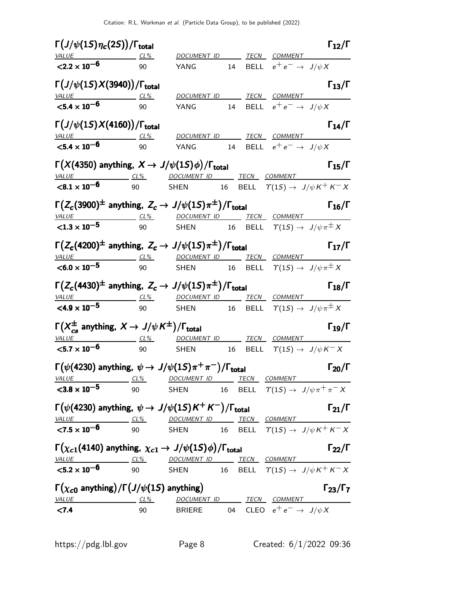| $\Gamma\big(J/\psi(1S)\eta_c(2S)\big)/\Gamma_{\rm total}$                                                               |        |                                                                |    |                                            | $\Gamma_{12}/\Gamma$                                    |
|-------------------------------------------------------------------------------------------------------------------------|--------|----------------------------------------------------------------|----|--------------------------------------------|---------------------------------------------------------|
| <b>VALUE</b><br>$CL\%$                                                                                                  |        | DOCUMENT ID                                                    |    | TECN COMMENT                               |                                                         |
| $<$ 2.2 $\times$ 10 <sup>-6</sup>                                                                                       | 90     | YANG                                                           | 14 | BELL $e^+e^- \rightarrow J/\psi X$         |                                                         |
| $\Gamma\left(J/\psi(1S)X(3940)\right)/\Gamma_{\rm total}$                                                               |        |                                                                |    |                                            | $\Gamma_{13}/\Gamma$                                    |
| <b>VALUE</b>                                                                                                            | $CL\%$ |                                                                |    | DOCUMENT ID TECN COMMENT                   |                                                         |
| $< 5.4 \times 10^{-6}$                                                                                                  | 90     | YANG                                                           |    | 14 BELL $e^+e^- \rightarrow J/\psi X$      |                                                         |
| $\Gamma\big(J/\psi(1S)X(4160)\big)/\Gamma_{\rm total}$                                                                  |        |                                                                |    |                                            | $\Gamma_{14}/\Gamma$                                    |
| $VALU E$ CL%                                                                                                            |        | DOCUMENT ID                                                    |    |                                            | TECN COMMENT                                            |
| $<$ 5.4 $\times$ 10 <sup>-6</sup>                                                                                       | 90     |                                                                |    | YANG 14 BELL $e^+e^- \rightarrow J/\psi X$ |                                                         |
| $\Gamma(X(4350)$ anything, $X \to J/\psi(1S)\phi)/\Gamma_{\text{total}}$                                                |        |                                                                |    |                                            | $\Gamma_{15}/\Gamma$                                    |
| <i>VALUE</i>                                                                                                            |        | <u>CL% DOCUMENT ID TECN COMMENT</u>                            |    |                                            |                                                         |
| ${<}8.1\times10^{-6}$                                                                                                   | 90     | SHEN 16 BELL $\varUpsilon(1S) \to J/\psi K^+ K^- X$            |    |                                            |                                                         |
| $\Gamma(Z_c(3900)^{\pm}$ anything, $Z_c \rightarrow J/\psi(15)\pi^{\pm})/\Gamma_{\text{total}}$                         |        |                                                                |    |                                            | $\Gamma_{16}/\Gamma$                                    |
| <b>VALUE</b>                                                                                                            |        | <u>CL% DOCUMENT ID TECN COMMENT</u>                            |    |                                            |                                                         |
| $< 1.3 \times 10^{-5}$                                                                                                  | 90     | SHEN 16 BELL $\varUpsilon(1S) \to \ J/\psi \pi^\pm X$          |    |                                            |                                                         |
| $\Gamma(Z_c(4200)^{\pm}$ anything, $Z_c \rightarrow J/\psi(1S)\pi^{\pm})/\Gamma_{\text{total}}$                         |        |                                                                |    |                                            | $\Gamma_{17}/\Gamma$                                    |
| <u>VALUE CL% DOCUMENT ID TECN COMMENT</u>                                                                               |        |                                                                |    |                                            |                                                         |
| $< 6.0 \times 10^{-5}$                                                                                                  | 90     | SHEN $16$ BELL $\varUpsilon(1S) \to \ J/\psi \pi^\pm X$        |    |                                            |                                                         |
| $\Gamma(Z_c(4430)^{\pm}$ anything, $Z_c \rightarrow J/\psi(1S)\pi^{\pm})/\Gamma_{\text{total}}$                         |        |                                                                |    |                                            | $\Gamma_{18}/\Gamma$                                    |
| <i>VALUE</i>                                                                                                            |        | <u>CL% DOCUMENT ID TECN COMMENT</u>                            |    |                                            |                                                         |
| $<$ 4.9 $\times$ 10 <sup>-5</sup>                                                                                       | 90     | SHEN 16 BELL $\varUpsilon(1S) \to J/\psi \pi^\pm X$            |    |                                            |                                                         |
| $\Gamma(X_{cs}^{\pm}$ anything, $X \rightarrow J/\psi K^{\pm})/\Gamma_{\text{total}}$                                   |        |                                                                |    |                                            | $\Gamma_{19}/\Gamma$                                    |
| $VALUE$ $CL\%$                                                                                                          |        | DOCUMENT ID                                                    |    | TECN COMMENT                               |                                                         |
| $< 5.7 \times 10^{-6}$                                                                                                  | 90     | <b>SHEN</b>                                                    | 16 |                                            | BELL $\Upsilon(1S) \rightarrow J/\psi K^- X$            |
| $\Gamma(\psi(4230)$ anything, $\psi \to J/\psi(1S)\pi^+\pi^-)/\Gamma_{\rm total}$                                       |        |                                                                |    |                                            | $\Gamma_{20}/\Gamma$                                    |
| $VALU E$ CL%                                                                                                            |        | <u>DOCUMENT ID _______ TECN ___COMMENT ___________________</u> |    |                                            |                                                         |
| $<$ 3.8 $\times$ 10 <sup>-5</sup>                                                                                       | 90     | <b>SHEN</b>                                                    |    |                                            | 16 BELL $\Upsilon(1S) \rightarrow J/\psi \pi^+ \pi^- X$ |
| $\Gamma(\psi(4230)$ anything, $\psi \rightarrow J/\psi(1S)K^+K^-)/\Gamma_{\text{total}}$                                |        |                                                                |    |                                            | $\Gamma_{21}/\Gamma$                                    |
| VALUE                                                                                                                   |        | <u>CL% DOCUMENT ID TECN COMMENT</u>                            |    |                                            |                                                         |
| ${<}7.5 \times 10^{-6}$                                                                                                 |        | 90 SHEN 16 BELL $\Upsilon(1S) \rightarrow J/\psi K^+ K^- X$    |    |                                            |                                                         |
| $\Gamma(\chi_{c1}(4140)$ anything, $\chi_{c1} \rightarrow J/\psi(1S)\phi)/\Gamma_{\text{total}}$                        |        |                                                                |    |                                            | $\Gamma_{22}/\Gamma$                                    |
| VALUE CL% DOCUMENT ID TECN COMMENT<br><5.2 × 10 <sup>-6</sup> 90 SHEN 16 BELL $\gamma(1S) \rightarrow J/\psi K^+ K^- X$ |        |                                                                |    |                                            |                                                         |
|                                                                                                                         |        |                                                                |    |                                            |                                                         |
| $\Gamma(\chi_{c0}$ anything)/ $\Gamma(J/\psi(1S)$ anything)                                                             |        |                                                                |    |                                            | $\Gamma_{23}/\Gamma_{7}$                                |
| <u>VALUE CL%</u> DOCUMENT ID TECN COMMENT<br><b>CT.4</b> 90 BRIERE 04 CLEO $e^+e^- \rightarrow J/\psi X$                |        |                                                                |    |                                            |                                                         |
|                                                                                                                         |        |                                                                |    |                                            |                                                         |
|                                                                                                                         |        |                                                                |    |                                            |                                                         |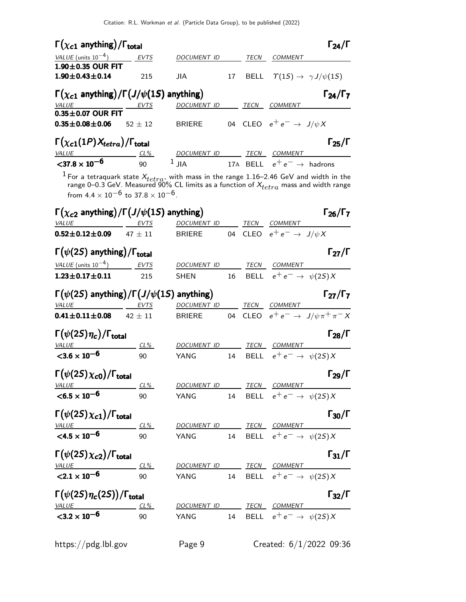| $\Gamma(\chi_{c1}$ anything)/ $\Gamma_{\text{total}}$                                                                                                                                                                                                     |             |                                                                          |    |      |                                                   | $\Gamma_{24}/\Gamma$     |
|-----------------------------------------------------------------------------------------------------------------------------------------------------------------------------------------------------------------------------------------------------------|-------------|--------------------------------------------------------------------------|----|------|---------------------------------------------------|--------------------------|
| VALUE (units $10^{-4}$ )                                                                                                                                                                                                                                  | EVTS        | DOCUMENT ID                                                              |    | TECN | <b>COMMENT</b>                                    |                          |
| 1.90±0.35 OUR FIT                                                                                                                                                                                                                                         |             |                                                                          |    |      |                                                   |                          |
| $1.90 \pm 0.43 \pm 0.14$                                                                                                                                                                                                                                  | 215         | <b>JIA</b>                                                               | 17 |      | BELL $\Upsilon(1S) \rightarrow \gamma J/\psi(1S)$ |                          |
| $\Gamma(\chi_{c1}$ anything)/ $\Gamma(J/\psi(1S))$ anything)                                                                                                                                                                                              |             |                                                                          |    |      |                                                   | $\Gamma_{24}/\Gamma_{7}$ |
| VALUE                                                                                                                                                                                                                                                     | EVIS        | DOCUMENT ID TECN COMMENT                                                 |    |      |                                                   |                          |
| $0.35\pm0.07$ OUR FIT                                                                                                                                                                                                                                     |             |                                                                          |    |      |                                                   |                          |
| $0.35 \pm 0.08 \pm 0.06$                                                                                                                                                                                                                                  | $52 \pm 12$ | <b>BRIERE</b>                                                            |    |      | 04 CLEO $e^+e^- \rightarrow J/\psi X$             |                          |
| $\Gamma(\chi_{c1}(1P) \mathcal{X}_{tetra})/\Gamma_{\rm total}$                                                                                                                                                                                            |             |                                                                          |    |      |                                                   | $\Gamma_{25}/\Gamma$     |
| $VALU E \t\t CL%$<br>${<}37.8\times10^{-6}$                                                                                                                                                                                                               |             | DOCUMENT ID TECN COMMENT                                                 |    |      |                                                   |                          |
|                                                                                                                                                                                                                                                           |             | 90 $\frac{1}{1}$ JIA $\frac{17A}{17A}$ BELL $e^+e^- \rightarrow$ hadrons |    |      |                                                   |                          |
| <sup>1</sup> For a tetraquark state $X_{tetra}$ , with mass in the range 1.16–2.46 GeV and width in the range 0–0.3 GeV. Measured 90% CL limits as a function of $X_{tetra}$ mass and width range<br>from $4.4 \times 10^{-6}$ to $37.8 \times 10^{-6}$ . |             |                                                                          |    |      |                                                   |                          |
|                                                                                                                                                                                                                                                           |             |                                                                          |    |      |                                                   |                          |
| $\Gamma(\chi_{c2}$ anything)/ $\Gamma(J/\psi(1S)$ anything)                                                                                                                                                                                               |             |                                                                          |    |      |                                                   | $\Gamma_{26}/\Gamma_{7}$ |
| VALUE <u>EVTS</u>                                                                                                                                                                                                                                         |             | DOCUMENT ID TECN COMMENT                                                 |    |      |                                                   |                          |
| $0.52 \pm 0.12 \pm 0.09$ 47 $\pm$ 11                                                                                                                                                                                                                      |             | <b>BRIERE</b>                                                            |    |      | 04 CLEO $e^+e^- \rightarrow J/\psi X$             |                          |
| $\Gamma(\psi(2S)$ anything)/ $\Gamma_{total}$                                                                                                                                                                                                             |             |                                                                          |    |      |                                                   | $\Gamma_{27}/\Gamma$     |
| VALUE (units $10^{-4}$ )                                                                                                                                                                                                                                  | <b>EVTS</b> | DOCUMENT ID                                                              |    | TECN | COMMENT                                           |                          |
| $1.23 \pm 0.17 \pm 0.11$                                                                                                                                                                                                                                  | 215         | <b>SHEN</b>                                                              | 16 |      | BELL $e^+e^- \rightarrow \psi(2S)X$               |                          |
| $\Gamma(\psi(2S)$ anything)/ $\Gamma(J/\psi(1S)$ anything)                                                                                                                                                                                                |             |                                                                          |    |      |                                                   | $\Gamma_{27}/\Gamma_{7}$ |
| VALUE EVTS<br>$0.41 \pm 0.11 \pm 0.08$ 42 $\pm$ 11                                                                                                                                                                                                        |             | DOCUMENT ID TECN COMMENT<br><b>BRIERE</b>                                | 04 |      | CLEO $e^+e^- \rightarrow J/\psi \pi^+ \pi^- X$    |                          |
|                                                                                                                                                                                                                                                           |             |                                                                          |    |      |                                                   |                          |
| $\Gamma(\psi(2S)\eta_c)/\Gamma_{\rm total}$                                                                                                                                                                                                               |             |                                                                          |    |      |                                                   | $\Gamma_{28}/\Gamma$     |
| $CL\%$                                                                                                                                                                                                                                                    |             | DOCUMENT ID                                                              |    |      | TECN COMMENT                                      |                          |
| $<$ 3.6 $\times$ 10 <sup>-6</sup>                                                                                                                                                                                                                         | 90          | YANG                                                                     | 14 |      | BELL $e^+e^- \rightarrow \psi(2S)X$               |                          |
|                                                                                                                                                                                                                                                           |             |                                                                          |    |      |                                                   |                          |
| $\Gamma\big(\psi(2\mathcal{S})\chi_{\mathsf{c} 0}\big)/\mathsf{\Gamma}_{\mathsf{total}}$                                                                                                                                                                  | CL%         | DOCUMENT ID TECN COMMENT                                                 |    |      |                                                   | $\Gamma_{29}/\Gamma$     |
| <b>VALUE</b><br>$<$ 6.5 $\times$ 10 <sup>-6</sup>                                                                                                                                                                                                         | 90          | YANG                                                                     |    |      | 14 BELL $e^+e^- \rightarrow \psi(2S)X$            |                          |
|                                                                                                                                                                                                                                                           |             |                                                                          |    |      |                                                   |                          |
| $\Gamma(\psi(2S)\chi_{c1})/\Gamma_{\rm total}$                                                                                                                                                                                                            |             |                                                                          |    |      |                                                   | $\Gamma_{30}/\Gamma$     |
| $\frac{VALUE}{< 4.5 \times 10^{-6}}$                                                                                                                                                                                                                      | CL%         | DOCUMENT ID TECN COMMENT                                                 |    |      |                                                   |                          |
|                                                                                                                                                                                                                                                           | 90          | YANG                                                                     |    |      | 14 BELL $e^+e^- \rightarrow \psi(2S)X$            |                          |
| $\Gamma(\psi(2S)\chi_{c2})/\Gamma_{\rm total}$                                                                                                                                                                                                            |             |                                                                          |    |      |                                                   | $\Gamma_{31}/\Gamma$     |
|                                                                                                                                                                                                                                                           | CL%         | DOCUMENT ID TECN COMMENT                                                 |    |      |                                                   |                          |
| $\frac{VALUE}{< 2.1 \times 10^{-6}}$                                                                                                                                                                                                                      | 90          | YANG                                                                     |    |      | 14 BELL $e^+e^- \rightarrow \psi(2S)X$            |                          |
| $\Gamma(\psi(2S)\eta_c(2S))/\Gamma_{\rm total}$                                                                                                                                                                                                           |             |                                                                          |    |      |                                                   | $\Gamma_{32}/\Gamma$     |
| $VALUE$ CL%                                                                                                                                                                                                                                               |             | DOCUMENT ID TECN COMMENT                                                 |    |      |                                                   |                          |
| $<$ 3.2 $\times$ 10 <sup>-6</sup>                                                                                                                                                                                                                         | 90          | YANG                                                                     |    |      | 14 BELL $e^+e^- \rightarrow \psi(2S)X$            |                          |
| https://pdg.lbl.gov                                                                                                                                                                                                                                       |             | Page 9                                                                   |    |      | Created: $6/1/2022$ 09:36                         |                          |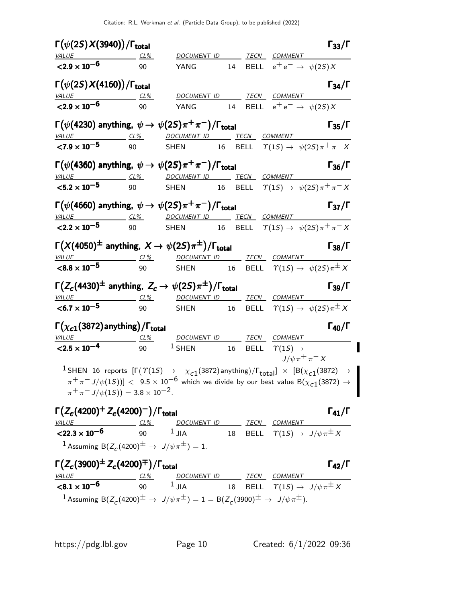| $\Gamma(\psi(2S)X(3940))/\Gamma_{\rm total}$                                                                                                                              |                 |                                                                                                                   |    |             |                                                                                               | $\Gamma_{33}/\Gamma$ |
|---------------------------------------------------------------------------------------------------------------------------------------------------------------------------|-----------------|-------------------------------------------------------------------------------------------------------------------|----|-------------|-----------------------------------------------------------------------------------------------|----------------------|
| VALUE                                                                                                                                                                     | CL%             | DOCUMENT ID                                                                                                       |    |             | TECN COMMENT                                                                                  |                      |
| $<$ 2.9 $\times$ 10 <sup>-6</sup>                                                                                                                                         | 90              | YANG                                                                                                              | 14 |             | BELL $e^+e^- \rightarrow \psi(2S)X$                                                           |                      |
| $\Gamma(\psi(2S)X(4160))/\Gamma_{\text{total}}$                                                                                                                           |                 |                                                                                                                   |    |             |                                                                                               | $\Gamma_{34}/\Gamma$ |
| <b>VALUE</b>                                                                                                                                                              | CL%             | DOCUMENT ID                                                                                                       |    |             | TECN COMMENT                                                                                  |                      |
| $<$ 2.9 $\times$ 10 <sup>-6</sup>                                                                                                                                         | 90              | YANG                                                                                                              | 14 |             | BELL $e^+e^- \rightarrow \psi(2S)X$                                                           |                      |
| $\Gamma(\psi(4230)$ anything, $\psi \to \psi(2S)\pi^+\pi^-)/\Gamma_{\rm total}$                                                                                           |                 |                                                                                                                   |    |             |                                                                                               | $\Gamma_{35}/\Gamma$ |
| $CL\%$                                                                                                                                                                    |                 | DOCUMENT ID TECN COMMENT                                                                                          |    |             |                                                                                               |                      |
| $< 7.9 \times 10^{-5}$                                                                                                                                                    | 90              | <b>SHEN</b>                                                                                                       | 16 |             | BELL $\tau(1S) \rightarrow \psi(2S) \pi^+ \pi^- X$                                            |                      |
| $\Gamma(\psi(4360)$ anything, $\psi \to \psi(2S)\pi^+\pi^-)/\Gamma_{\text{total}}$                                                                                        |                 |                                                                                                                   |    |             |                                                                                               | $\Gamma_{36}/\Gamma$ |
| $CL\%$<br><b>VALUE</b>                                                                                                                                                    |                 | DOCUMENT ID                                                                                                       |    |             | TECN COMMENT                                                                                  |                      |
| ${<}5.2 \times 10^{-5}$                                                                                                                                                   | 90              | <b>SHEN</b>                                                                                                       | 16 | <b>BELL</b> | $\Upsilon(1S) \rightarrow \psi(2S) \pi^+ \pi^- X$                                             |                      |
| $\Gamma(\psi(4660)$ anything, $\psi \to \psi(2S)\pi^+\pi^-)/\Gamma_{\rm total}$                                                                                           |                 |                                                                                                                   |    |             |                                                                                               | $\Gamma_{37}/\Gamma$ |
| <i><b>VALUE</b></i>                                                                                                                                                       |                 | <u>CL% DOCUMENT ID TECN COMMENT</u>                                                                               |    |             |                                                                                               |                      |
| $<$ 2.2 $\times$ 10 <sup>-5</sup>                                                                                                                                         | 90              | <b>SHEN</b>                                                                                                       | 16 |             | BELL $\Upsilon(1S) \rightarrow \psi(2S) \pi^+ \pi^- X$                                        |                      |
| $\Gamma(X(4050)^{\pm}$ anything, $X \rightarrow \psi(2S)\pi^{\pm})/\Gamma_{\text{total}}$                                                                                 |                 |                                                                                                                   |    |             |                                                                                               | $\Gamma_{38}/\Gamma$ |
| $VALUE CL%$                                                                                                                                                               |                 | DOCUMENT ID TECN COMMENT                                                                                          |    |             |                                                                                               |                      |
| $< 8.8 \times 10^{-5}$                                                                                                                                                    | 90              | SHEN                                                                                                              | 16 |             | BELL $\Upsilon(1S) \rightarrow \psi(2S) \pi^{\pm} X$                                          |                      |
| $\Gamma(Z_c(4430)^{\pm}$ anything, $Z_c \rightarrow \psi(2S)\pi^{\pm})/\Gamma_{\text{total}}$                                                                             |                 |                                                                                                                   |    |             |                                                                                               | $\Gamma_{39}/\Gamma$ |
| <i>VALUE</i>                                                                                                                                                              | $CL\%$          | DOCUMENT ID                                                                                                       |    |             | TECN COMMENT                                                                                  |                      |
| $< 6.7 \times 10^{-5}$                                                                                                                                                    | 90              | SHEN                                                                                                              | 16 |             | BELL $\Upsilon(1S) \rightarrow \psi(2S) \pi^{\pm} X$                                          |                      |
| $\Gamma(\chi_{c1}(3872)$ anything) / $\Gamma_{\rm total}$                                                                                                                 |                 |                                                                                                                   |    |             |                                                                                               | $\Gamma_{40}/\Gamma$ |
| <b>VALUE</b>                                                                                                                                                              | $CL\%$          | DOCUMENT ID                                                                                                       |    | TECN        | <b>COMMENT</b>                                                                                |                      |
| $<$ 2.5 $\times$ 10 <sup>-4</sup>                                                                                                                                         | 90              | $1$ SHEN                                                                                                          | 16 | <b>BELL</b> | $\Upsilon(1S) \rightarrow$<br>$J/\psi \pi^+ \pi^- X$                                          |                      |
| $^1$ SHEN 16 reports $[\Gamma(\Upsilon(1S) \rightarrow \chi_{c1}(3872)$ anything)/ $\Gamma_{total}] \times [B(\chi_{c1}(3872) \rightarrow$                                |                 |                                                                                                                   |    |             |                                                                                               |                      |
|                                                                                                                                                                           |                 | $\pi^+\pi^- J/\psi(15))] < 9.5 \times 10^{-6}$ which we divide by our best value B( $\chi_{c1}(3872) \rightarrow$ |    |             |                                                                                               |                      |
| $\pi^+ \pi^- J/\psi(15)$ = 3.8 × 10 <sup>-2</sup> .                                                                                                                       |                 |                                                                                                                   |    |             |                                                                                               |                      |
|                                                                                                                                                                           |                 |                                                                                                                   |    |             |                                                                                               |                      |
| $\Gamma(Z_c(4200)^+ Z_c(4200)^-) / \Gamma_{\text{total}}$                                                                                                                 |                 |                                                                                                                   |    |             |                                                                                               | $\Gamma_{41}/\Gamma$ |
| $\frac{V A L U E}{S 22.3 \times 10^{-6}}$ $\frac{CL\%}{90}$ $\frac{DOCUMENT ID}{JIA}$ $\frac{TECN}{18}$ $\frac{COMMENT}{BEL}$ $\gamma(15) \rightarrow J/\psi \pi^{\pm} X$ |                 |                                                                                                                   |    |             |                                                                                               |                      |
| 1 Assuming B $(Z_c(4200)^{\pm} \rightarrow J/\psi \pi^{\pm}) = 1$ .                                                                                                       |                 |                                                                                                                   |    |             |                                                                                               |                      |
|                                                                                                                                                                           |                 |                                                                                                                   |    |             |                                                                                               |                      |
| $\Gamma(Z_c(3900)^{\pm} Z_c(4200)^{\mp})/\Gamma_{\text{total}}$                                                                                                           |                 |                                                                                                                   |    |             |                                                                                               | $\Gamma_{42}/\Gamma$ |
| <u>VALUE</u><br>$< 8.1 \times 10^{-6}$                                                                                                                                    | $rac{CL\%}{90}$ | $1$ JIA                                                                                                           |    |             | DOCUMENT ID TECN COMMENT<br>TECN COMMENT<br>18 BELL $\tau(15) \rightarrow J/\psi \pi^{\pm} X$ |                      |
|                                                                                                                                                                           |                 |                                                                                                                   |    |             |                                                                                               |                      |

 $1$  Assuming B( $Z_c(4200)^{\pm} \rightarrow J/\psi \pi^{\pm}$ ) = 1 = B( $Z_c(3900)^{\pm} \rightarrow J/\psi \pi^{\pm}$ ).

 $\blacksquare$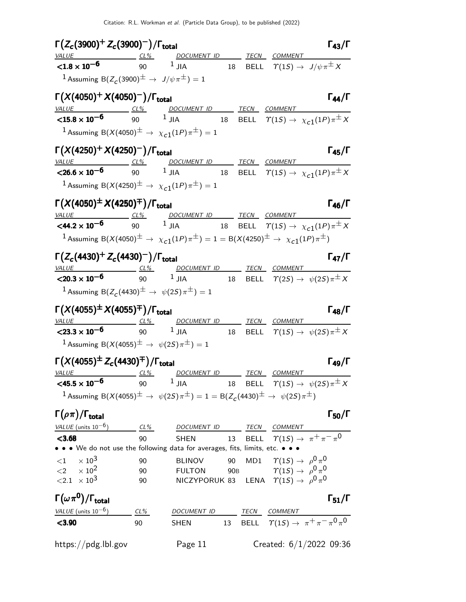| $\Gamma(Z_c(3900)^+ Z_c(3900)^-) / \Gamma_{\text{total}}$                                                                                                                               |        |                                                                                                              |  |                                           | $\Gamma_{43}/\Gamma$                                 |
|-----------------------------------------------------------------------------------------------------------------------------------------------------------------------------------------|--------|--------------------------------------------------------------------------------------------------------------|--|-------------------------------------------|------------------------------------------------------|
| VALUE CL <sup>9</sup> CL <sup>9</sup> DOCUMENT ID TECN COMMENT<br><b>CL8 x 10<sup>-6</sup></b> 90 <sup>1</sup> JIA 18 BELL $\gamma(15) \rightarrow J/\psi \pi^{\pm} X$                  |        |                                                                                                              |  |                                           |                                                      |
|                                                                                                                                                                                         |        |                                                                                                              |  |                                           |                                                      |
| <sup>1</sup> Assuming B( $Z_c$ (3900) <sup><math>\pm</math></sup> $\rightarrow$ J/ $\psi \pi^{\pm}$ ) = 1                                                                               |        |                                                                                                              |  |                                           |                                                      |
| $\Gamma(X(4050)^+ X(4050)^-) / \Gamma_{\text{total}}$                                                                                                                                   |        |                                                                                                              |  |                                           | $\Gamma_{44}/\Gamma$                                 |
|                                                                                                                                                                                         |        |                                                                                                              |  |                                           |                                                      |
| VALUE CL <sup>9</sup> DOCUMENT ID TECN COMMENT<br><15.8 x 10 <sup>-6</sup> 90 <sup>1</sup> JIA 18 BELL $\gamma(1S) \rightarrow \chi_c 1(1P) \pi^{\pm} X$                                |        |                                                                                                              |  |                                           |                                                      |
| <sup>1</sup> Assuming B( $X(4050)^{\pm} \rightarrow \chi_{c1}(1P)\pi^{\pm}$ ) = 1                                                                                                       |        |                                                                                                              |  |                                           |                                                      |
| $\Gamma(X(4250)^+ X(4250)^-) / \Gamma_{\text{total}}$                                                                                                                                   |        |                                                                                                              |  |                                           | $\Gamma_{45}/\Gamma$                                 |
| $\frac{\text{Value}}{\text{14.10E}}$ $\frac{CL\%}{90}$ $\frac{DOCUMENT ID}{1 JIA}$ $\frac{TECN}{18}$ $\frac{COMMENT}{BELL}$ $\frac{COMMENT}{T(15)} \rightarrow \chi_{c1}(1P)\pi^{\pm}X$ |        |                                                                                                              |  |                                           |                                                      |
|                                                                                                                                                                                         |        |                                                                                                              |  |                                           |                                                      |
| <sup>1</sup> Assuming B $(X(4250)^{\pm} \rightarrow X_{c1}(1P)\pi^{\pm})=1$                                                                                                             |        |                                                                                                              |  |                                           |                                                      |
| $\Gamma(X(4050)^{\pm} X(4250)^{\mp})/\Gamma_{\text{total}}$                                                                                                                             |        |                                                                                                              |  |                                           | $\Gamma_{46}/\Gamma$                                 |
| $\frac{\text{Value}}{\text{Value}}$ $\frac{CL\%}{90}$ $\frac{DOCUMENT ID}{1 JIA}$ $\frac{TECN}{18}$ $\frac{COMMENT}{BEL}$ $\gamma(15) \rightarrow \chi_{c1}(1P)\pi^{\pm}X$              |        |                                                                                                              |  |                                           |                                                      |
|                                                                                                                                                                                         |        |                                                                                                              |  |                                           |                                                      |
| 1 Assuming B(X(4050) <sup><math>\pm</math></sup> $\rightarrow \chi_{c1}(1P)\pi^{\pm}$ ) = 1 = B(X(4250) <sup><math>\pm</math></sup> $\rightarrow \chi_{c1}(1P)\pi^{\pm}$ )              |        |                                                                                                              |  |                                           |                                                      |
| $\Gamma(Z_c(4430)^+ Z_c(4430)^-) / \Gamma_{\text{total}}$                                                                                                                               |        |                                                                                                              |  |                                           | $\Gamma_{47}/\Gamma$                                 |
|                                                                                                                                                                                         |        |                                                                                                              |  |                                           |                                                      |
|                                                                                                                                                                                         |        |                                                                                                              |  |                                           |                                                      |
| <sup>1</sup> Assuming B( $Z_c(4430)^{\pm} \to \psi(25)\pi^{\pm}$ ) = 1                                                                                                                  |        |                                                                                                              |  |                                           |                                                      |
| $\Gamma(X(4055)^{\pm} X(4055)^{\mp})/\Gamma_{\rm total}$                                                                                                                                |        |                                                                                                              |  |                                           | $\Gamma_{48}/\Gamma$                                 |
| $\frac{VALUE}{1000}$ $\frac{CL\%}{90}$ $\frac{DOCUMENT ID}{100}$ $\frac{TECN}{18}$ $\frac{COMMENT}{ECL}$ $\frac{COMMENT}{T(15)}$ $\rightarrow \psi(25)\pi^{\pm}X$                       |        |                                                                                                              |  |                                           |                                                      |
|                                                                                                                                                                                         |        |                                                                                                              |  |                                           |                                                      |
| 1 Assuming B $(X(4055)^{\pm} \rightarrow \psi(25)\pi^{\pm}) = 1$                                                                                                                        |        |                                                                                                              |  |                                           |                                                      |
| $\Gamma(X(4055)^{\pm} Z_c(4430)^{\mp})/\Gamma_{\rm total}$                                                                                                                              |        |                                                                                                              |  |                                           | $\Gamma_{49}/\Gamma$                                 |
| $VALUE CL% DOCUMENT ID TECN COMMENT$                                                                                                                                                    |        |                                                                                                              |  |                                           |                                                      |
| $<$ 45.5 $\times$ 10 <sup>-6</sup>                                                                                                                                                      | 90     | $1$ JIA                                                                                                      |  |                                           | 18 BELL $\varUpsilon(1S) \to \ \psi(2S) \pi^{\pm} X$ |
| 1 Assuming B(X(4055) <sup><math>\pm</math></sup> $\rightarrow \psi(25)\pi^{\pm}$ ) = 1 = B(Z <sub>c</sub> (4430) <sup><math>\pm</math></sup> $\rightarrow \psi(25)\pi^{\pm}$ )          |        |                                                                                                              |  |                                           |                                                      |
| $\Gamma(\rho\pi)/\Gamma_{\rm total}$                                                                                                                                                    |        |                                                                                                              |  |                                           | $\Gamma_{50}/\Gamma$                                 |
| $VALUE$ (units $10^{-6}$ )                                                                                                                                                              |        | CL% DOCUMENT ID TECN COMMENT                                                                                 |  |                                           |                                                      |
| < 3.68                                                                                                                                                                                  | 90     | SHEN 13 BELL $\Upsilon(1S) \rightarrow \pi^+ \pi^- \pi^0$                                                    |  |                                           |                                                      |
| • • • We do not use the following data for averages, fits, limits, etc. •                                                                                                               |        |                                                                                                              |  |                                           |                                                      |
| $\langle 1 \rangle \times 10^3$                                                                                                                                                         | 90     | <b>BLINOV</b>                                                                                                |  | 90 MD1 $\mathcal{T}(1S) \to \rho^0 \pi^0$ |                                                      |
| $\langle 2 \times 10^2 \rangle$<br>$\langle 2.1 \times 10^{3}$                                                                                                                          | 90     | FULTON 90B $\gamma(1S) \rightarrow \rho^0 \pi^0$<br>NICZYPORUK 83 LENA $\gamma(1S) \rightarrow \rho^0 \pi^0$ |  |                                           |                                                      |
|                                                                                                                                                                                         | 90     |                                                                                                              |  |                                           |                                                      |
| $\Gamma(\omega\,\pi^0)/\Gamma_{\rm total}$                                                                                                                                              |        |                                                                                                              |  |                                           | $\Gamma_{51}/\Gamma$                                 |
| VALUE (units $10^{-6}$ )                                                                                                                                                                | $CL\%$ | DOCUMENT ID TECN COMMENT                                                                                     |  |                                           |                                                      |
| $<$ 3.90                                                                                                                                                                                | 90     | SHEN 13 BELL $\Upsilon(1S) \rightarrow \pi^+ \pi^- \pi^0 \pi^0$                                              |  |                                           |                                                      |
| https://pdg.lbl.gov                                                                                                                                                                     |        | Page 11                                                                                                      |  |                                           | Created: $6/1/2022$ 09:36                            |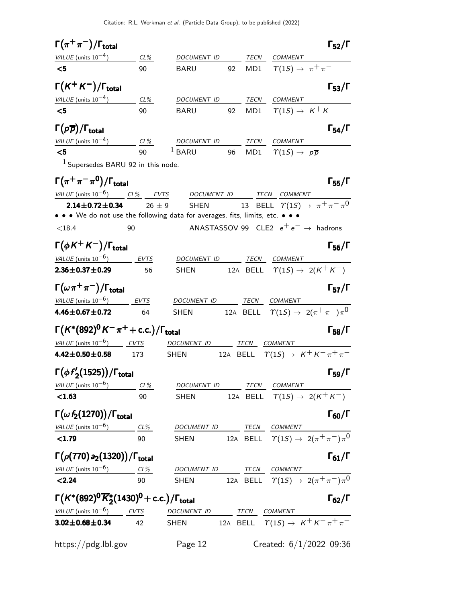| $\Gamma(\pi^+\pi^-)/\Gamma_{\rm total}$                                                                       |        |                                                                                                                 |    |      |                                                                         | $\Gamma_{52}/\Gamma$ |
|---------------------------------------------------------------------------------------------------------------|--------|-----------------------------------------------------------------------------------------------------------------|----|------|-------------------------------------------------------------------------|----------------------|
| VALUE (units $10^{-4}$ )                                                                                      | $CL\%$ | <b>DOCUMENT ID</b>                                                                                              |    | TECN | COMMENT                                                                 |                      |
| $\leq 5$                                                                                                      | 90     | <b>BARU</b>                                                                                                     | 92 |      | MD1 $\tau(15) \rightarrow \pi^+\pi^-$                                   |                      |
| $\Gamma(K^+K^-)/\Gamma_{\rm total}$                                                                           |        |                                                                                                                 |    |      |                                                                         | $\Gamma_{53}/\Gamma$ |
| VALUE (units $10^{-4}$ )                                                                                      | CL%    | DOCUMENT ID                                                                                                     |    | TECN | <b>COMMENT</b>                                                          |                      |
| $\leq 5$                                                                                                      | 90     | <b>BARU</b>                                                                                                     | 92 |      | MD1 $\gamma(15) \rightarrow K^+ K^-$                                    |                      |
| $\Gamma(p\overline{p})/\Gamma_{\rm total}$                                                                    |        |                                                                                                                 |    |      |                                                                         | $\Gamma_{54}/\Gamma$ |
|                                                                                                               |        |                                                                                                                 |    |      |                                                                         |                      |
| $VALUE$ (units $10^{-4}$ ) CL%<br>$<$ 5                                                                       | $90-1$ | DOCUMENT ID TECN COMMENT<br>$1$ BARU                                                                            | 96 |      | MD1 $\Upsilon(15) \rightarrow p\overline{p}$                            |                      |
| $1$ Supersedes BARU 92 in this node.                                                                          |        |                                                                                                                 |    |      |                                                                         |                      |
| $\Gamma(\pi^+\pi^-\pi^0)/\Gamma_{\rm total}$                                                                  |        |                                                                                                                 |    |      |                                                                         | $\Gamma_{55}/\Gamma$ |
|                                                                                                               |        |                                                                                                                 |    |      |                                                                         |                      |
| VALUE (units $10^{-6}$ ) CL% EVTS                                                                             |        |                                                                                                                 |    |      | DOCUMENT ID TECN COMMENT                                                |                      |
| <b>2.14±0.72±0.34</b> 26 ± 9<br>• • • We do not use the following data for averages, fits, limits, etc. • • • |        | <b>SHEN</b>                                                                                                     |    |      | 13 BELL $\Upsilon(1S) \rightarrow \pi^+ \pi^- \pi^0$                    |                      |
| $<$ 18.4                                                                                                      | 90     |                                                                                                                 |    |      | ANASTASSOV 99 CLE2 $e^+e^- \rightarrow$ hadrons                         |                      |
|                                                                                                               |        |                                                                                                                 |    |      |                                                                         |                      |
| $\Gamma(\phi K^+ K^-)/\Gamma_{\rm total}$                                                                     |        |                                                                                                                 |    |      |                                                                         | $\Gamma_{56}/\Gamma$ |
| VALUE (units $10^{-6}$ ) EVTS                                                                                 |        | DOCUMENT ID                                                                                                     |    |      | TECN COMMENT                                                            |                      |
| $2.36 \pm 0.37 \pm 0.29$                                                                                      | 56     | <b>SHEN</b>                                                                                                     |    |      | 12A BELL $\Upsilon(1S) \rightarrow 2(K^+K^-)$                           |                      |
| $\Gamma(\omega \pi^+ \pi^-)/\Gamma_{\rm total}$                                                               |        |                                                                                                                 |    |      |                                                                         | $\Gamma_{57}/\Gamma$ |
| VALUE (units $10^{-6}$ ) EVTS                                                                                 |        | DOCUMENT ID TECN COMMENT                                                                                        |    |      |                                                                         |                      |
| $4.46 \pm 0.67 \pm 0.72$                                                                                      | 64     | <b>SHEN</b>                                                                                                     |    |      | 12A BELL $\quad \  \  \mathcal{T}(1S) \rightarrow \ 2(\pi^+\pi^-)\pi^0$ |                      |
| $\Gamma(K^*(892)^0 K^- \pi^+ + \text{c.c.})/\Gamma_{\text{total}}$                                            |        |                                                                                                                 |    |      |                                                                         | $\Gamma_{58}/\Gamma$ |
| VALUE (units $10^{-6}$ ) EVTS                                                                                 |        | DOCUMENT ID TECN COMMENT                                                                                        |    |      |                                                                         |                      |
| $4.42 \pm 0.50 \pm 0.58$                                                                                      | 173    | <b>SHEN</b>                                                                                                     |    |      | 12A BELL $\Upsilon(1S) \rightarrow K^+ K^- \pi^+ \pi^-$                 |                      |
|                                                                                                               |        |                                                                                                                 |    |      |                                                                         | $\Gamma_{59}/\Gamma$ |
| $\Gamma\big(\phi\,f'_2(1525)\big)/\Gamma_{\rm total}$                                                         |        |                                                                                                                 |    |      |                                                                         |                      |
| <u>VALUE</u> (units $10^{-6}$ ) CL%<br>< 1.63                                                                 | 90     | DOCUMENT ID TECN COMMENT                                                                                        |    |      | SHEN 12A BELL $\Upsilon(1S) \rightarrow 2(K^+K^-)$                      |                      |
|                                                                                                               |        |                                                                                                                 |    |      |                                                                         |                      |
| $\Gamma(\omega f_2(1270))/\Gamma_{\rm total}$                                                                 |        |                                                                                                                 |    |      |                                                                         | $\Gamma_{60}/\Gamma$ |
| <u>VALUE</u> (units $10^{-6}$ ) CL%                                                                           |        | DOCUMENT ID TECN COMMENT                                                                                        |    |      |                                                                         |                      |
| < 1.79                                                                                                        | 90     |                                                                                                                 |    |      | SHEN 12A BELL $\overline{\Upsilon(1S) \rightarrow 2(\pi^+\pi^-)\pi^0}$  |                      |
| $\Gamma(\rho(770) a_2(1320)) / \Gamma_{\text{total}}$                                                         |        |                                                                                                                 |    |      |                                                                         | $\Gamma_{61}/\Gamma$ |
| VALUE (units $10^{-6}$ ) CL%                                                                                  |        |                                                                                                                 |    |      |                                                                         |                      |
| < 2.24                                                                                                        | 90     | $\frac{DOCUMENT ID}{SHEN}$ $\frac{TECN}{BELL}$ $\frac{COMMENT}{T(1S)}$ $\rightarrow$ $2(\pi^{+}\pi^{-})\pi^{0}$ |    |      |                                                                         |                      |
| $\Gamma(K^*(892)^0\overline{K}_2^*(1430)^0 + \text{c.c.})/\Gamma_{\text{total}}$                              |        |                                                                                                                 |    |      |                                                                         | $\Gamma_{62}/\Gamma$ |
| $VALUE$ (units $10^{-6}$ ) EVTS                                                                               |        |                                                                                                                 |    |      |                                                                         |                      |
| $3.02 \pm 0.68 \pm 0.34$ 42                                                                                   |        | $\frac{DOCUMENT ID}{DAC}$ $\frac{TECN}{DELL}$ $\frac{COMMENT}{T(1S)} \rightarrow K+K-\pi+\pi-$                  |    |      |                                                                         |                      |
|                                                                                                               |        |                                                                                                                 |    |      |                                                                         |                      |
| https://pdg.lbl.gov                                                                                           |        | Page 12                                                                                                         |    |      | Created: $6/1/2022$ 09:36                                               |                      |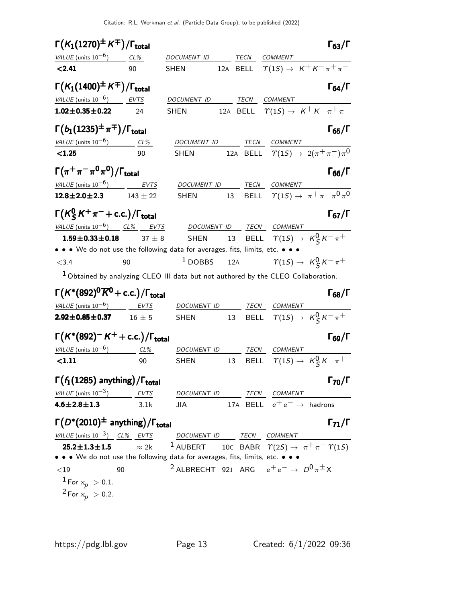| $\Gamma(K_1(1270)^{\pm}K^{\mp})/\Gamma_{\text{total}}$                        |              |                                                                                     |    |      |                                                            | $\Gamma_{63}/\Gamma$ |
|-------------------------------------------------------------------------------|--------------|-------------------------------------------------------------------------------------|----|------|------------------------------------------------------------|----------------------|
| <u>VALUE</u> (units $10^{-6}$ ) CL%                                           |              | DOCUMENT ID                                                                         |    | TECN | COMMENT                                                    |                      |
| < 2.41                                                                        | 90           | <b>SHEN</b>                                                                         |    |      | 12A BELL $\Upsilon(1S) \rightarrow K^+ K^- \pi^+ \pi^-$    |                      |
| $\Gamma(K_1(1400)^{\pm}\,K^{\mp})/\Gamma_{\rm total}$                         |              |                                                                                     |    |      |                                                            | $\Gamma_{64}/\Gamma$ |
| VALUE (units $10^{-6}$ )                                                      | <b>EVTS</b>  | DOCUMENT ID                                                                         |    | TECN | COMMENT                                                    |                      |
| $1.02 \pm 0.35 \pm 0.22$                                                      | 24           | <b>SHEN</b>                                                                         |    |      | 12A BELL $\Upsilon(1S) \rightarrow K^+ K^- \pi^+ \pi^-$    |                      |
| $\Gamma(b_1(1235)^{\pm}\pi^{\mp})/\Gamma_{\text{total}}$                      |              |                                                                                     |    |      |                                                            | $\Gamma_{65}/\Gamma$ |
| VALUE (units $10^{-6}$ ) CL%                                                  |              | <b>DOCUMENT ID</b>                                                                  |    | TECN | <b>COMMENT</b>                                             |                      |
| < 1.25                                                                        | 90           | <b>SHEN</b>                                                                         |    |      | 12A BELL $\Upsilon(1S) \rightarrow 2(\pi^+\pi^-)\pi^0$     |                      |
| $\Gamma(\pi^+\pi^-\pi^0\pi^0)/\Gamma_{\rm total}$                             |              |                                                                                     |    |      |                                                            | $\Gamma_{66}/\Gamma$ |
| VALUE (units $10^{-6}$ ) EVTS                                                 |              | DOCUMENT ID TECN COMMENT                                                            |    |      |                                                            |                      |
| $12.8 \pm 2.0 \pm 2.3$                                                        | $143 \pm 22$ | SHEN                                                                                |    |      | 13 BELL $\Upsilon(1S) \rightarrow \pi^+ \pi^- \pi^0 \pi^0$ |                      |
| $\Gamma(K^0_S K^+\pi^-+c.c.)/\Gamma_{\text{total}}$                           |              |                                                                                     |    |      |                                                            | $\Gamma_{67}/\Gamma$ |
| <u>VALUE</u> (units $10^{-6}$ ) CL% EVTS                                      |              |                                                                                     |    |      | DOCUMENT ID TECN COMMENT                                   |                      |
| $1.59 \pm 0.33 \pm 0.18$                                                      | $37 \pm 8$   |                                                                                     |    |      | SHEN 13 BELL $\Upsilon(1S) \rightarrow K_S^0 K^- \pi^+$    |                      |
| • • • We do not use the following data for averages, fits, limits, etc. • • • |              |                                                                                     |    |      |                                                            |                      |
| < 3.4                                                                         | 90           | $1$ DOBBS                                                                           |    | 12A  | $\Gamma(1S) \rightarrow K_S^0 K^- \pi^+$                   |                      |
|                                                                               |              | $1$ Obtained by analyzing CLEO III data but not authored by the CLEO Collaboration. |    |      |                                                            |                      |
| $\Gamma(K^*(892)^0\overline{K}^0$ + c.c.)/ $\Gamma_{\rm total}$               |              |                                                                                     |    |      |                                                            | $\Gamma_{68}/\Gamma$ |
| VALUE (units $10^{-6}$ ) EVTS                                                 |              | DOCUMENT ID                                                                         |    | TECN | <b>COMMENT</b>                                             |                      |
| $2.92 \pm 0.85 \pm 0.37$                                                      | $16 \pm 5$   | <b>SHEN</b>                                                                         | 13 |      | BELL $\Upsilon(1S) \rightarrow K_S^0 K^- \pi^+$            |                      |
| $\Gamma(K^*(892)^- K^+ + c.c.)/\Gamma_{\text{total}}$                         |              |                                                                                     |    |      |                                                            | $\Gamma_{69}/\Gamma$ |
| VALUE (units $10^{-6}$ )                                                      | CL%          | DOCUMENT ID                                                                         |    |      | TECN COMMENT                                               |                      |
| < 1.11                                                                        | 90           | <b>SHEN</b>                                                                         | 13 |      | BELL $\Upsilon(1S) \rightarrow K_S^0 K^- \pi^+$            |                      |
| $\Gamma(f_1(1285)$ anything)/ $\Gamma_{total}$                                |              |                                                                                     |    |      |                                                            | $\Gamma_{70}/\Gamma$ |
| VALUE (units $10^{-3}$ )                                                      | <b>EVTS</b>  | DOCUMENT ID                                                                         |    |      | TECN COMMENT                                               |                      |
| $4.6 \pm 2.8 \pm 1.3$                                                         | 3.1k         | <b>JIA</b>                                                                          |    |      | 17A BELL $e^+e^- \rightarrow$ hadrons                      |                      |
| $\Gamma(D^*(2010)^{\pm}$ anything)/ $\Gamma_{\text{total}}$                   |              |                                                                                     |    |      |                                                            | $\Gamma_{71}/\Gamma$ |
| VALUE (units $10^{-3}$ ) CL% EVTS                                             |              |                                                                                     |    |      |                                                            |                      |
| $25.2 \pm 1.3 \pm 1.5$                                                        | $\approx$ 2k | $1 \frac{DOCUMENT ID}{AUBERT}$ 10C BABR $T(2S) \rightarrow \pi^+ \pi^- T(1S)$       |    |      |                                                            |                      |
| • • • We do not use the following data for averages, fits, limits, etc. • • • |              |                                                                                     |    |      |                                                            |                      |
| $<$ 19                                                                        |              |                                                                                     |    |      |                                                            |                      |
|                                                                               | 90           | <sup>2</sup> ALBRECHT 92J ARG $e^+e^- \rightarrow D^0 \pi^{\pm} X$                  |    |      |                                                            |                      |
| $1$ For $x_p > 0.1$ .<br><sup>2</sup> For $x_p > 0.2$ .                       |              |                                                                                     |    |      |                                                            |                      |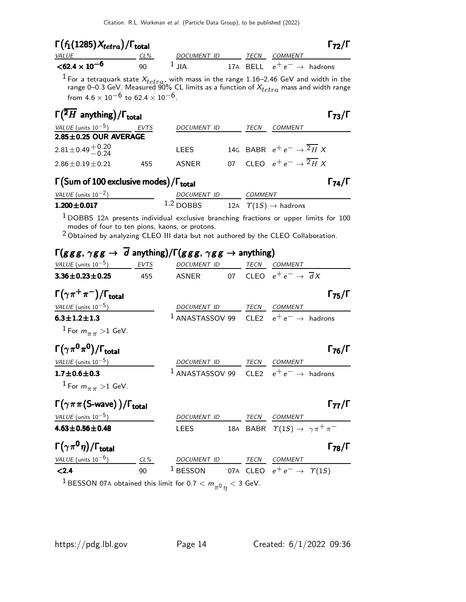| $\Gamma(f_1(1285)X_{tetra})/\Gamma_{\rm total}$ |     |             |      |                                       | $\Gamma_{72}/\Gamma$ |
|-------------------------------------------------|-----|-------------|------|---------------------------------------|----------------------|
| <i>VALUE</i>                                    | CL% | DOCUMENT ID | TECN | COMMENT                               |                      |
| $<$ 62.4 $\times$ 10 <sup>-6</sup>              | ۹N  | $\perp$ IIA |      | 17A BELL $e^+e^- \rightarrow$ hadrons |                      |

<sup>1</sup> For a tetraquark state  $X_{tetra}$ , with mass in the range 1.16–2.46 GeV and width in the range 0–0.3 GeV. Measured 90% CL limits as a function of  $X_{tetra}$  mass and width range from  $4.6\times10^{-6}$  to  $62.4\times10^{-6}$ .

| $\Gamma(\overline{{}^2H}$ anything)/ $\Gamma_{total}$                                                                                                                                                                                                                                                                                                  |     |                                                              |      |                                                | l 73/l               |
|--------------------------------------------------------------------------------------------------------------------------------------------------------------------------------------------------------------------------------------------------------------------------------------------------------------------------------------------------------|-----|--------------------------------------------------------------|------|------------------------------------------------|----------------------|
| VALUE (units $10^{-5}$ ) EVTS                                                                                                                                                                                                                                                                                                                          |     | DOCUMENT ID                                                  | TECN | COMMENT                                        |                      |
| $2.85 \pm 0.25$ OUR AVERAGE                                                                                                                                                                                                                                                                                                                            |     |                                                              |      |                                                |                      |
| $2.81 \pm 0.49 \pm 0.20$                                                                                                                                                                                                                                                                                                                               |     | LEES                                                         |      | 14G BABR $e^+e^- \rightarrow \overline{^2H} X$ |                      |
| $2.86 \pm 0.19 \pm 0.21$                                                                                                                                                                                                                                                                                                                               | 455 | ASNER                                                        |      | 07 CLEO $e^+e^- \rightarrow \overline{^2H} X$  |                      |
| $\Gamma$ (Sum of 100 exclusive modes)/ $\Gamma_{\text{total}}$                                                                                                                                                                                                                                                                                         |     |                                                              |      |                                                | $\Gamma_{74}/\Gamma$ |
| VALUE (units $10^{-2}$ )                                                                                                                                                                                                                                                                                                                               |     | DOCUMENT ID COMMENT                                          |      |                                                |                      |
| $1.200 \pm 0.017$                                                                                                                                                                                                                                                                                                                                      |     | 1,2 DOBBS 12A $\ \mathcal{T}(1S) \rightarrow$ hadrons        |      |                                                |                      |
| <sup>1</sup> DOBBS 12A presents individual exclusive branching fractions or upper limits for 100<br>modes of four to ten pions, kaons, or protons.<br>$2$ Obtained by analyzing CLEO III data but not authored by the CLEO Collaboration.<br>$\Gamma(ggg, \gamma gg \rightarrow \overline{d}$ anything)/ $\Gamma(ggg, \gamma gg \rightarrow$ anything) |     |                                                              |      |                                                |                      |
| VALUE (units $10^{-5}$ ) EVTS                                                                                                                                                                                                                                                                                                                          |     | DOCUMENT ID TECN COMMENT                                     |      |                                                |                      |
| $3.36 \pm 0.23 \pm 0.25$                                                                                                                                                                                                                                                                                                                               |     | 455 ASNER 07 CLEO $e^+e^- \rightarrow \overline{d}X$         |      |                                                |                      |
| $\Gamma(\gamma \pi^+\pi^-)/\Gamma_{\rm total}$                                                                                                                                                                                                                                                                                                         |     |                                                              |      |                                                | $\Gamma_{75}/\Gamma$ |
| VALUE (units $10^{-5}$ )                                                                                                                                                                                                                                                                                                                               |     | DOCUMENT ID TECN COMMENT                                     |      |                                                |                      |
| $6.3 \pm 1.2 \pm 1.3$                                                                                                                                                                                                                                                                                                                                  |     | <sup>1</sup> ANASTASSOV 99 CLE2 $e^+e^- \rightarrow$ hadrons |      |                                                |                      |
| <sup>1</sup> For $m_{\pi\pi}$ >1 GeV.                                                                                                                                                                                                                                                                                                                  |     |                                                              |      |                                                |                      |

| $\Gamma(\gamma\pi^0\pi^0)/\Gamma_{\rm total}$ |                                                              |      | $\Gamma_{76}/\Gamma$ |
|-----------------------------------------------|--------------------------------------------------------------|------|----------------------|
| <i>VALUE</i> (units $10^{-5}$ )               | DOCUMENT ID                                                  | TECN | COMMENT              |
| $1.7 \pm 0.6 \pm 0.3$                         | <sup>1</sup> ANASTASSOV 99 CLE2 $e^+e^- \rightarrow$ hadrons |      |                      |
|                                               |                                                              |      |                      |

<sup>1</sup> For  $m_{\pi\pi}$  >1 GeV.

| $\Gamma(\gamma \pi \pi(\mathsf{S}\text{-wave}))/\Gamma_{\text{total}}$ |             |      |                                                        | $\Gamma_{77}/\Gamma$ |
|------------------------------------------------------------------------|-------------|------|--------------------------------------------------------|----------------------|
| VALUE (units $10^{-5}$ )                                               | DOCUMENT ID | TECN | COMMENT                                                |                      |
| $4.63 \pm 0.56 \pm 0.48$                                               | <b>LEES</b> |      | 18A BABR $\Upsilon(1S) \rightarrow \gamma \pi^+ \pi^-$ |                      |

#### Γ $(\gamma \pi^0 \eta)/\Gamma_{\text{total}}$  Γ $78/\Gamma$ /Γtotal Γ78/Γ

| VALUE (units $10^{-6}$ )                                               | $CL\%$ | DOCUMENT ID | TECN | <i>COMMENT</i>                                       |
|------------------------------------------------------------------------|--------|-------------|------|------------------------------------------------------|
| $\langle 2.4$                                                          | 90.    |             |      | $^1$ BESSON 07A CLEO $e^+e^- \rightarrow \gamma(1S)$ |
| $^1$ BESSON 07A obtained this limit for 0.7 $< m_{\pi^0\eta} <$ 3 GeV. |        |             |      |                                                      |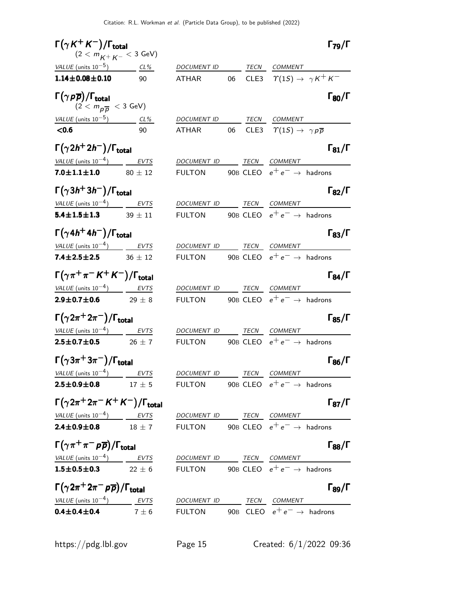| $\Gamma(\gamma K^+K^-)/\Gamma_{\rm total}$<br>$(2 < mK+ K - < 3 \text{ GeV})$                                |    |                                                                          |  | $\Gamma_{79}/\Gamma$ |
|--------------------------------------------------------------------------------------------------------------|----|--------------------------------------------------------------------------|--|----------------------|
| VALUE (units $10^{-5}$ ) CL%                                                                                 |    | DOCUMENT ID TECN COMMENT                                                 |  |                      |
| $1.14 \pm 0.08 \pm 0.10$ 90                                                                                  |    | ATHAR 06 CLE3 $\Upsilon(1S) \rightarrow \gamma K^+ K^-$                  |  |                      |
| $\Gamma\big(\gamma\,\rho\overline{\rho}\big)/\Gamma_{\rm total}$<br>$(2 < m_{p\overline{p}} < 3$ GeV)        |    |                                                                          |  | $\Gamma_{80}/\Gamma$ |
| VALUE (units $10^{-5}$ ) CL%                                                                                 |    | DOCUMENT ID TECN COMMENT                                                 |  |                      |
| < 0.6                                                                                                        | 90 | ATHAR 06 CLE3 $\Upsilon(1S) \rightarrow \gamma p \overline{p}$           |  |                      |
| $\Gamma\big(\gamma 2h^+2h^-\big)/\Gamma_{\rm total}$                                                         |    |                                                                          |  | $\Gamma_{81}/\Gamma$ |
| $VALUE$ (units $10^{-4}$ ) EVTS                                                                              |    | DOCUMENT ID TECN COMMENT                                                 |  |                      |
| <b>7.0±1.1±1.0</b> $80 \pm 12$                                                                               |    | FULTON 90B CLEO $e^+e^- \rightarrow$ hadrons                             |  |                      |
| $\Gamma\big(\gamma3 h^+3 h^-\big)/\Gamma_{\rm total}$                                                        |    |                                                                          |  | $\Gamma_{82}/\Gamma$ |
| <u>VALUE</u> (units $10^{-4}$ ) EVTS                                                                         |    | DOCUMENT ID TECN COMMENT                                                 |  |                      |
| <b>5.4±1.5±1.3</b> 39 ± 11                                                                                   |    | FULTON 90B CLEO $e^+e^- \rightarrow$ hadrons                             |  |                      |
| $\Gamma\big(\gamma 4h^+4h^-\big)/\Gamma_{\rm total}$                                                         |    |                                                                          |  | $\Gamma_{83}/\Gamma$ |
| VALUE (units $10^{-4}$ ) EVTS                                                                                |    | DOCUMENT ID TECN COMMENT                                                 |  |                      |
| <b>7.4±2.5±2.5</b> $36 \pm 12$                                                                               |    | FULTON 90B CLEO $e^+e^- \rightarrow$ hadrons                             |  |                      |
| $\Gamma(\gamma\pi^+\pi^ \mathsf{K}^+\mathsf{K}^-)/\Gamma_{\mathsf{total}}$                                   |    |                                                                          |  | $\Gamma_{84}/\Gamma$ |
| VALUE (units $10^{-4}$ ) EVTS<br>$2.9 \pm 0.7 \pm 0.6$ 29 $\pm$ 8                                            |    | DOCUMENT ID TECN COMMENT<br>FULTON 90B CLEO $e^+e^- \rightarrow$ hadrons |  |                      |
|                                                                                                              |    |                                                                          |  |                      |
| $\Gamma\big(\gamma2\pi^+2\pi^-\big)/\Gamma_{\rm total}$                                                      |    |                                                                          |  | $\Gamma_{85}/\Gamma$ |
| $VALUE$ (units $10^{-4}$ ) EVTS                                                                              |    | DOCUMENT ID TECN COMMENT                                                 |  |                      |
| <b>2.5 ± 0.7 ± 0.5</b> 26 ± 7                                                                                |    | FULTON 90B CLEO $e^+e^- \rightarrow$ hadrons                             |  |                      |
| $\Gamma(\gamma3\pi^+3\pi^-)/\Gamma_{\rm total}$                                                              |    |                                                                          |  | $\Gamma_{86}/\Gamma$ |
| VALUE (units $10^{-4}$ ) EVTS                                                                                |    | DOCUMENT ID TECN COMMENT                                                 |  |                      |
|                                                                                                              |    |                                                                          |  |                      |
| $\Gamma(\gamma 2\pi^+ 2\pi^- K^+ K^-)/\Gamma_{\rm total}$                                                    |    |                                                                          |  | $\Gamma_{87}/\Gamma$ |
| $VALUE$ (units $10^{-4}$ ) EVTS DOCUMENT ID TECN COMMENT                                                     |    |                                                                          |  |                      |
|                                                                                                              |    |                                                                          |  |                      |
| $\Gamma(\gamma\pi^+\pi^-\rho\overline{\rho})/\Gamma_{\rm total}$                                             |    |                                                                          |  | $\Gamma_{88}/\Gamma$ |
| $VALUE$ (units $10^{-4}$ ) EVTS DOCUMENT ID TECN COMMENT                                                     |    |                                                                          |  |                      |
| $\textbf{1.5} \pm \textbf{0.5} \pm \textbf{0.3}$ 22 $\pm$ 6 FULTON 90B CLEO $e^+ \, e^- \rightarrow$ hadrons |    |                                                                          |  |                      |
| $\Gamma\big(\gamma2\pi^+2\pi^-\,\rho\overline{\rho}\big)/\Gamma_{\rm total}$                                 |    |                                                                          |  | $\Gamma_{89}/\Gamma$ |
| VALUE (units $10^{-4}$ ) EVTS                                                                                |    | DOCUMENT ID TECN COMMENT                                                 |  |                      |
|                                                                                                              |    |                                                                          |  |                      |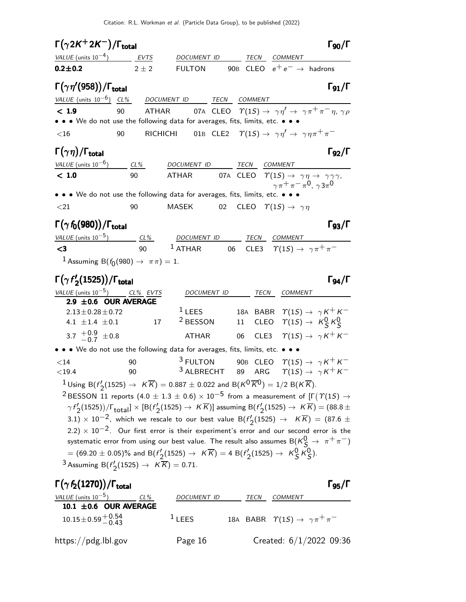Citation: R.L. Workman et al. (Particle Data Group), to be published (2022)

| $\Gamma(\gamma 2K^+ 2K^-)/\Gamma_{\rm total}$                                                                                                     |                                                                                                                                                                  |                                                                                                      | $\Gamma_{90}/\Gamma$                           |
|---------------------------------------------------------------------------------------------------------------------------------------------------|------------------------------------------------------------------------------------------------------------------------------------------------------------------|------------------------------------------------------------------------------------------------------|------------------------------------------------|
| $VALUE$ (units $10^{-4}$ ) EVTS                                                                                                                   | DOCUMENT ID                                                                                                                                                      | TECN COMMENT                                                                                         |                                                |
| $0.2 + 0.2$<br>$2 \pm 2$                                                                                                                          | <b>FULTON</b>                                                                                                                                                    | 90B CLEO $e^+e^- \rightarrow$ hadrons                                                                |                                                |
| $\Gamma(\gamma\eta'(958))/\Gamma_{\rm total}$                                                                                                     |                                                                                                                                                                  |                                                                                                      | $\Gamma_{91}/\Gamma$                           |
| VALUE (units $10^{-6}$ ) CL%                                                                                                                      | DOCUMENT ID<br><b>TECN</b>                                                                                                                                       | COMMENT                                                                                              |                                                |
| < 1.9<br>90                                                                                                                                       | <b>ATHAR</b>                                                                                                                                                     | 07A CLEO $\Upsilon(1S) \rightarrow \gamma \eta' \rightarrow \gamma \pi^+ \pi^- \eta$ , $\gamma \rho$ |                                                |
| • • • We do not use the following data for averages, fits, limits, etc. • • •                                                                     |                                                                                                                                                                  |                                                                                                      |                                                |
| $<$ 16<br>90                                                                                                                                      | <b>RICHICHI</b>                                                                                                                                                  | 01B CLE2 $\Upsilon(1S) \rightarrow \gamma \eta' \rightarrow \gamma \eta \pi^+ \pi^-$                 |                                                |
| $\Gamma(\gamma\eta)/\Gamma_{\rm total}$                                                                                                           |                                                                                                                                                                  |                                                                                                      | $\Gamma_{92}/\Gamma$                           |
| VALUE (units $10^{-6}$ )<br>$CL\%$                                                                                                                | DOCUMENT ID                                                                                                                                                      | TECN<br>COMMENT                                                                                      |                                                |
| < 1.0<br>90                                                                                                                                       | <b>ATHAR</b>                                                                                                                                                     | 07A CLEO $\Upsilon(1S) \rightarrow \gamma \eta \rightarrow \gamma \gamma \gamma$ ,                   | $\gamma \pi^+ \pi^- \pi^0$ , $\gamma 3 \pi^0$  |
| • • • We do not use the following data for averages, fits, limits, etc. •                                                                         |                                                                                                                                                                  |                                                                                                      |                                                |
| $<$ 21<br>90                                                                                                                                      | MASEK<br>02                                                                                                                                                      | CLEO $\Upsilon(1S) \rightarrow \gamma \eta$                                                          |                                                |
| $\Gamma(\gamma f_0(980))/\Gamma_{\rm total}$                                                                                                      |                                                                                                                                                                  |                                                                                                      | $\Gamma_{93}/\Gamma$                           |
| $VALUE$ (units $10^{-5}$ ) CL% DOCUMENT ID TECN                                                                                                   |                                                                                                                                                                  | <b>COMMENT</b>                                                                                       |                                                |
| $3$                                                                                                                                               | 90 $1$ ATHAR                                                                                                                                                     | 06 CLE3 $\gamma(1S) \rightarrow \gamma \pi^+ \pi^-$                                                  |                                                |
| <sup>1</sup> Assuming B( $f_0(980) \rightarrow \pi \pi$ ) = 1.                                                                                    |                                                                                                                                                                  |                                                                                                      |                                                |
| $\Gamma(\gamma f_2'(1525))/\Gamma_{\rm total}$                                                                                                    |                                                                                                                                                                  |                                                                                                      | $\Gamma_{94}/\Gamma$                           |
| <u>VALUE</u> (units $10^{-5}$ ) CL% EVTS                                                                                                          | DOCUMENT ID                                                                                                                                                      | TECN<br><b>COMMENT</b>                                                                               |                                                |
| 2.9 $\pm$ 0.6 OUR AVERAGE                                                                                                                         |                                                                                                                                                                  |                                                                                                      |                                                |
| $2.13 \pm 0.28 \pm 0.72$                                                                                                                          | $1$ LEES                                                                                                                                                         | 18A BABR $\Upsilon(1S) \rightarrow \gamma K^+ K^-$                                                   |                                                |
| 4.1 $\pm 1.4$ $\pm 0.1$                                                                                                                           | <sup>2</sup> BESSON<br>17                                                                                                                                        | 11 CLEO $\Upsilon(1S) \rightarrow K_S^0 K_S^0$                                                       |                                                |
| 3.7 $^{+0.9}_{-0.7}$ ±0.8                                                                                                                         | <b>ATHAR</b>                                                                                                                                                     | 06                                                                                                   | CLE3 $\Upsilon(15) \rightarrow \gamma K^+ K^-$ |
| • • • We do not use the following data for averages, fits, limits, etc. • • •                                                                     |                                                                                                                                                                  |                                                                                                      |                                                |
| 90<br>$<$ 14                                                                                                                                      | <sup>3</sup> FULTON                                                                                                                                              | 90B CLEO $\varUpsilon(1S) \rightarrow \, \gamma \, K^+ \, K^-$                                       |                                                |
| $<$ 19.4<br>90                                                                                                                                    | <sup>3</sup> ALBRECHT                                                                                                                                            | 89 ARG                                                                                               | $\Upsilon(1S) \rightarrow \gamma K^+ K^-$      |
| $1$ Using B $(f'_2(1525) \rightarrow K \overline{K}) = 0.887 \pm 0.022$ and B $(K^0 \overline{K}{}^0) = 1/2$ B $(K \overline{K})$ .               |                                                                                                                                                                  |                                                                                                      |                                                |
| <sup>2</sup> BESSON 11 reports (4.0 $\pm$ 1.3 $\pm$ 0.6) $\times$ 10 <sup>-5</sup> from a measurement of [ $\Gamma$ ( $\Gamma$ (1S) $\rightarrow$ |                                                                                                                                                                  |                                                                                                      |                                                |
|                                                                                                                                                   | $\gamma f_2'(1525))/\Gamma_{\text{total}}] \times [B(f_2'(1525) \rightarrow K\overline{K})]$ assuming $B(f_2'(1525) \rightarrow K\overline{K}) = (88.8 \pm 1.0)$ |                                                                                                      |                                                |
|                                                                                                                                                   | 3.1) $\times$ 10 <sup>-2</sup> , which we rescale to our best value B( $f'_{2}(1525) \rightarrow K\overline{K}$ ) = (87.6 $\pm$                                  |                                                                                                      |                                                |
|                                                                                                                                                   | $(2.2) \times 10^{-2}$ . Our first error is their experiment's error and our second error is the                                                                 |                                                                                                      |                                                |
|                                                                                                                                                   | systematic error from using our best value. The result also assumes ${\sf B}({\sf K}^{\sf U}_{\cal S}\to~\pi^+\pi^-)$                                            |                                                                                                      |                                                |
|                                                                                                                                                   | $\mathcal{L}=(69.20\pm0.05)\%$ and B $(f'_2(1525)\rightarrow~K\overline{K})=4$ B $(f'_2(1525)\rightarrow~K^0_S\overline{K}^0_S).$                                |                                                                                                      |                                                |
| <sup>3</sup> Assuming B( $f'_{2}(1525) \rightarrow K\overline{K}$ ) = 0.71.                                                                       |                                                                                                                                                                  |                                                                                                      |                                                |
|                                                                                                                                                   |                                                                                                                                                                  |                                                                                                      |                                                |
| $\Gamma(\gamma f_2(1270))/\Gamma_{\rm total}$                                                                                                     |                                                                                                                                                                  |                                                                                                      | $\Gamma_{95}/\Gamma$                           |
| VALUE (units $10^{-5}$ )<br>CL%<br>10.1 $\pm$ 0.6 OUR AVERAGE                                                                                     | DOCUMENT ID                                                                                                                                                      | TECN<br><b>COMMENT</b>                                                                               |                                                |
|                                                                                                                                                   | $1$ LEES                                                                                                                                                         | 18A BABR $\Upsilon(1S) \rightarrow \gamma \pi^+ \pi^-$                                               |                                                |
| $10.15 \pm 0.59 \, {}^{+0.54}_{-0.43}$                                                                                                            |                                                                                                                                                                  |                                                                                                      |                                                |
| https://pdg.lbl.gov                                                                                                                               | Page 16                                                                                                                                                          |                                                                                                      | Created: $6/1/2022$ 09:36                      |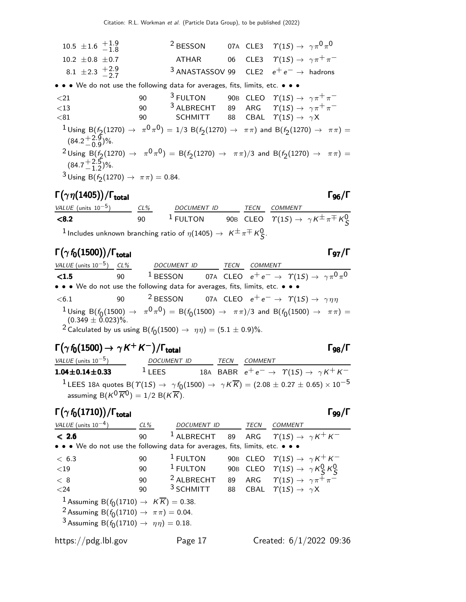$10.5 \pm 1.6 + 1.9$  $-1.8$  $^2$  BESSON 07A CLE3  $\varUpsilon(1S) \rightarrow \ \gamma \pi^{\textsf{O}} \pi^{\textsf{O}}$ 10.2 ±0.8 ±0.7 ATHAR 06 CLE3  $\gamma(1S) \to \gamma \pi^+ \pi^-$ 8.1  $\pm 2.3 + \frac{2.9}{2.7}$  $-2.7$  $3$  ANASTASSOV 99 CLE2  $e^+e^- \rightarrow$  hadrons • • • We do not use the following data for averages, fits, limits, etc. • • •  $<$ 21 90  $^3$  FULTON 90B CLEO  $\varUpsilon(1S) \rightarrow \gamma \pi^+ \pi^ <$ 13 90  $^3$  ALBRECHT 89 ARG  $\varUpsilon(1S) \to \gamma \pi^+ \pi^-$ <81 90 SCHMITT 88 CBAL Υ(1S) → γ X  $1$ Using  $\overline{B(f_2(1270)\rightarrow\ \pi^0\pi^0)}=1/3$   $\overline{B(f_2(1270)\rightarrow\ \pi\pi)}$  and  $\overline{B(f_2(1270)\rightarrow\ \pi\pi)}=1$  $(84.2<sup>+2.9</sup><sub>0.9</sub>)\%.$  $-0.9$  $^2$ Using  $\text{B}(f_2(1270) \rightarrow \pi^0 \pi^0) = \text{B}(f_2(1270) \rightarrow \pi \pi)/3$  and  $\text{B}(f_2(1270) \rightarrow \pi \pi) =$  $(84.7<sup>+2.5</sup><sub>1.2</sub>)$  $\frac{+2.5}{-1.2}$ %.  $3 \text{ Using B}(f_2(1270) \to \pi \pi) = 0.84.$ 

### Γ $(\gamma \, \eta(1405))$ /Γ<sub>total</sub> Γ<sub>96</sub>/Γ

| VALUE (units $10^{-5}$ )                                                                                            | CL% | <i>DOCUMENT ID</i> |  | TECN COMMENT |                                                                                  |
|---------------------------------------------------------------------------------------------------------------------|-----|--------------------|--|--------------|----------------------------------------------------------------------------------|
| < 8.2                                                                                                               | 90. | $^1$ FULTON        |  |              | 90B CLEO $\varUpsilon(1S) \rightarrow \ \gamma \, K^{\pm} \, \pi^{\mp} \, K^0_S$ |
| $^{-1}$ Includes unknown branching ratio of $\eta(1405)\rightarrow\ K^{\pm}\pi^{\mp}\mathcal{K}^{0}_{\mathcal{S}}.$ |     |                    |  |              |                                                                                  |

# Γ $(\gamma f_0(1500))/\Gamma_{\text{total}}$  Γ97/Γ

| VALUE (units $10^{-5}$ ) CL% |    | DOCUMENT ID                                                                                | TECN | COMMENT                                                                                                                                                     |  |
|------------------------------|----|--------------------------------------------------------------------------------------------|------|-------------------------------------------------------------------------------------------------------------------------------------------------------------|--|
| $\langle 1.5$                | 90 | $1$ BESSON                                                                                 |      | 07A CLEO $e^+ \, e^- \rightarrow \;\; \Upsilon(1S) \rightarrow \;\gamma \, \pi^0 \, \pi^0$                                                                  |  |
|                              |    | • • • We do not use the following data for averages, fits, limits, etc. • • •              |      |                                                                                                                                                             |  |
| < 6.1                        | 90 |                                                                                            |      | <sup>2</sup> BESSON 07A CLEO $e^+e^- \rightarrow \gamma(1S) \rightarrow \gamma\eta\eta$                                                                     |  |
|                              |    | <sup>2</sup> Calculated by us using B( $f_0(1500) \rightarrow \eta \eta$ ) = (5.1 ± 0.9)%. |      | $1 \text{ Using } B(f_0(1500) \rightarrow \pi^0 \pi^0) = B(f_0(1500) \rightarrow \pi \pi)/3$ and $B(f_0(1500) \rightarrow \pi \pi) = (0.349 \pm 0.023)\%$ . |  |

# $\Gamma(\gamma f_0(1500) \to \gamma K^+ K^-)/\Gamma_{\text{total}}$  Γg<sub>8</sub>/Γ

| VALUE (units $10^{-5}$ )                                  | <b>DOCUMENT ID</b> | TECN | COMMENT |                                                                                                                                           |
|-----------------------------------------------------------|--------------------|------|---------|-------------------------------------------------------------------------------------------------------------------------------------------|
| $1.04 \pm 0.14 \pm 0.33$                                  | $1$ LEES           |      |         | 18A BABR $e^+e^- \rightarrow \gamma(15) \rightarrow \gamma K^+ K^-$                                                                       |
|                                                           |                    |      |         | <sup>1</sup> LEES 18A quotes B( $\Upsilon(1S) \to \gamma f_0(1500) \to \gamma K \overline{K}$ ) = (2.08 ± 0.27 ± 0.65) × 10 <sup>-5</sup> |
| assuming $B(K^0 \overline{K}^0) = 1/2 B(K \overline{K}).$ |                    |      |         |                                                                                                                                           |

## Γ $(\gamma f_0(1710))/\Gamma_{\sf total}$  Γgg $/\Gamma$

| VALUE (units $10^{-4}$ )                                                      | $CL\%$ | <b>DOCUMENT ID</b>    |    | TECN | <b>COMMENT</b>                                                         |
|-------------------------------------------------------------------------------|--------|-----------------------|----|------|------------------------------------------------------------------------|
| < 2.6                                                                         | 90     |                       |    |      | <sup>1</sup> ALBRECHT 89 ARG $\Upsilon(1S) \rightarrow \gamma K^+ K^-$ |
| • • • We do not use the following data for averages, fits, limits, etc. • • • |        |                       |    |      |                                                                        |
| < 6.3                                                                         | 90     | $1$ FULTON            |    |      | 90B CLEO $\Upsilon(1S) \rightarrow \gamma K^+ K^-$                     |
| ${<}19$                                                                       | 90     | $1$ FULTON            |    |      | 90B CLEO $\Upsilon(1S) \rightarrow \gamma K_S^0 K_S^0$                 |
| < 8                                                                           | 90     | <sup>2</sup> ALBRECHT | 89 |      | ARG $\gamma(1S) \rightarrow \gamma \pi^+ \pi^-$                        |
| $24$                                                                          | 90     | $3$ SCHMITT           |    |      | 88 CBAL $\Upsilon(1S) \rightarrow \gamma X$                            |
| <sup>1</sup> Assuming B( $f_0(1710) \rightarrow K\overline{K}$ ) = 0.38.      |        |                       |    |      |                                                                        |
| <sup>2</sup> Assuming B( $f_0(1710) \rightarrow \pi \pi$ ) = 0.04.            |        |                       |    |      |                                                                        |
| 3 Assuming B( $f_0(1710) \to \eta \eta$ ) = 0.18.                             |        |                       |    |      |                                                                        |
| https://pdg.lbl.gov                                                           |        | Page 17               |    |      | Created: $6/1/2022$ 09:36                                              |

### total 99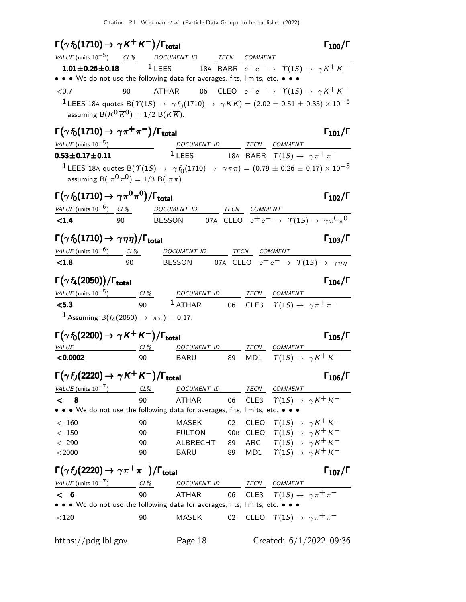| $\Gamma(\gamma f_0(1710) \rightarrow \gamma K^+ K^-)/\Gamma_{\text{total}}$                                                                                                                                                                                   |          |                                                                                       |                                                                          |                                                       | $\Gamma_{100}/\Gamma$     |
|---------------------------------------------------------------------------------------------------------------------------------------------------------------------------------------------------------------------------------------------------------------|----------|---------------------------------------------------------------------------------------|--------------------------------------------------------------------------|-------------------------------------------------------|---------------------------|
| $VALUE$ (units $10^{-5}$ ) CL% DOCUMENT ID TECN COMMENT                                                                                                                                                                                                       |          |                                                                                       |                                                                          |                                                       |                           |
| $1.01 \pm 0.26 \pm 0.18$                                                                                                                                                                                                                                      |          | <sup>1</sup> LEES 18A BABR $e^+e^- \rightarrow \gamma(1S) \rightarrow \gamma K^+ K^-$ |                                                                          |                                                       |                           |
| • • • We do not use the following data for averages, fits, limits, etc. • • •                                                                                                                                                                                 |          |                                                                                       |                                                                          |                                                       |                           |
| < 0.7                                                                                                                                                                                                                                                         | 90       | ATHAR 06 CLEO $e^+e^- \rightarrow \ \varUpsilon(1S) \rightarrow \ \gamma K^+K^-$      |                                                                          |                                                       |                           |
| <sup>1</sup> LEES 18A quotes B( $\Upsilon(1S) \rightarrow \gamma f_0(1710) \rightarrow \gamma K \overline{K}$ ) = (2.02 ± 0.51 ± 0.35) × 10 <sup>-5</sup><br>assuming B( $K^0 \overline{K}^0$ ) = 1/2 B( $K \overline{K}$ ).                                  |          |                                                                                       |                                                                          |                                                       |                           |
| $\Gamma(\gamma f_0(1710) \rightarrow \gamma \pi^+ \pi^-)/\Gamma_{\text{total}}$                                                                                                                                                                               |          |                                                                                       |                                                                          |                                                       | $\Gamma_{101}/\Gamma$     |
| $VALUE$ (units $10^{-5}$ )                                                                                                                                                                                                                                    |          | DOCUMENT ID TECN COMMENT                                                              |                                                                          |                                                       |                           |
| <b>0.53±0.17±0.11</b> $1 \text{LEES}$ 18A BABR $\Upsilon(1S) \to \gamma \pi^+ \pi^-$                                                                                                                                                                          |          |                                                                                       |                                                                          |                                                       |                           |
| <sup>1</sup> LEES 18A quotes B( $\varUpsilon(1S) \to \gamma f_0(1710) \to \gamma \pi \pi$ ) = (0.79 ± 0.26 ± 0.17) × 10 <sup>-5</sup><br>assuming B( $\pi^{0} \pi^{0}$ ) = 1/3 B( $\pi \pi$ ).                                                                |          |                                                                                       |                                                                          |                                                       |                           |
| $\Gamma(\gamma f_0(1710) \to \gamma \pi^0 \pi^0)/\Gamma_{\text{total}}$                                                                                                                                                                                       |          |                                                                                       |                                                                          |                                                       | $\Gamma_{102}/\Gamma$     |
| $VALUE$ (units $10^{-6}$ ) $CL\%$ DOCUMENT ID TECN COMMENT                                                                                                                                                                                                    |          |                                                                                       |                                                                          |                                                       |                           |
| < 1.4                                                                                                                                                                                                                                                         | 90       | BESSON 67A CLEO $e^+e^- \rightarrow \gamma(1S) \rightarrow \gamma \pi^0 \pi^0$        |                                                                          |                                                       |                           |
| $\Gamma(\gamma f_0(1710) \rightarrow \gamma \eta \eta)/\Gamma_{\text{total}}$                                                                                                                                                                                 |          |                                                                                       |                                                                          |                                                       | $\Gamma_{103}/\Gamma$     |
| $VALUE$ (units 10 <sup>-6</sup> ) $CL\%$ DOCUMENT ID TECN COMMENT                                                                                                                                                                                             |          |                                                                                       |                                                                          |                                                       |                           |
| $\langle$ 1.8                                                                                                                                                                                                                                                 | 90       | BESSON 67A CLEO $e^+e^- \rightarrow \Upsilon(1S) \rightarrow \gamma \eta \eta$        |                                                                          |                                                       |                           |
| $\Gamma(\gamma f_4(2050))/\Gamma_{\rm total}$                                                                                                                                                                                                                 |          |                                                                                       |                                                                          |                                                       | $\Gamma_{104}/\Gamma$     |
| $VALUE$ (units $10^{-5}$ ) CL% DOCUMENT ID TECN COMMENT                                                                                                                                                                                                       |          |                                                                                       |                                                                          |                                                       |                           |
| < 5.3<br><sup>1</sup> Assuming B( $f_4(2050) \to \pi \pi$ ) = 0.17.                                                                                                                                                                                           | 90       | $^{-1}$ ATHAR 06 CLE3 $\varUpsilon(1S) \rightarrow \gamma \pi^+ \pi^-$                |                                                                          |                                                       |                           |
| $\Gamma(\gamma f_0(2200) \rightarrow \gamma K^+ K^-)/\Gamma_{\text{total}}$                                                                                                                                                                                   |          |                                                                                       |                                                                          |                                                       | $\Gamma_{105}/\Gamma$     |
| $VALUE$ $CL\%$                                                                                                                                                                                                                                                |          |                                                                                       | DOCUMENT ID TECN COMMENT                                                 |                                                       |                           |
| < 0.0002                                                                                                                                                                                                                                                      | 90       | BARU                                                                                  | 89                                                                       | MD1 $\gamma(1S) \rightarrow \gamma K^+ K^-$           |                           |
| $\Gamma\big(\gamma\,f\jmath(2220)\rightarrow\,\gamma\,K^{+}\,K^{-}\big)/\Gamma_{\rm total}$                                                                                                                                                                   |          |                                                                                       |                                                                          |                                                       | $\Gamma_{106}/\Gamma$     |
| $VALUE (units 10-7)$ CL% DOCUMENT ID TECN COMMENT                                                                                                                                                                                                             |          |                                                                                       |                                                                          |                                                       |                           |
| $\left\langle \right\rangle$<br>8                                                                                                                                                                                                                             | 90       | ATHAR                                                                                 |                                                                          | 06 CLE3 $\Upsilon(1S) \rightarrow \gamma K^+ K^-$     |                           |
| • • • We do not use the following data for averages, fits, limits, etc. • • •                                                                                                                                                                                 |          |                                                                                       |                                                                          |                                                       |                           |
| < 160                                                                                                                                                                                                                                                         | 90       | MASEK                                                                                 |                                                                          | 02 CLEO $\Upsilon(1S) \rightarrow \gamma K^+ K^-$     |                           |
| < 150<br>< 290                                                                                                                                                                                                                                                | 90<br>90 |                                                                                       | FULTON 90B CLEO $\Upsilon(1S) \rightarrow \gamma K^+ K^-$<br>ALBRECHT 89 | ARG $\tau(15) \rightarrow \gamma K^+ K^-$             |                           |
| $<$ 2000                                                                                                                                                                                                                                                      | 90       | <b>BARU</b>                                                                           | 89                                                                       | MD1 $\hat{r}(15) \rightarrow \gamma K^{+} K^{-}$      |                           |
| $\Gamma(\gamma f_J(2220) \rightarrow \gamma \pi^+ \pi^-)/\Gamma_{\text{total}}$                                                                                                                                                                               |          |                                                                                       |                                                                          |                                                       | $\Gamma_{107}/\Gamma$     |
| $\frac{VALUE \text{ (units 10}^{-7})}{C}$ $\frac{CL\%}{90}$ DOCUMENT ID TECN COMMENT<br>$\leftarrow$ 6 $\frac{C1\%}{CLE3}$ $\leftarrow$ $\frac{DOCUMENT \text{ ID}}{06}$ $\leftarrow$ $\frac{TECN}{CLE3}$ $\leftarrow$ $\leftarrow$ $\leftarrow$ $\leftarrow$ |          |                                                                                       |                                                                          |                                                       |                           |
|                                                                                                                                                                                                                                                               |          | ATHAR 66 CLE3 $\varUpsilon(1S) \to \gamma \pi^+ \pi^-$                                |                                                                          |                                                       |                           |
| • • • We do not use the following data for averages, fits, limits, etc. • • •                                                                                                                                                                                 |          |                                                                                       |                                                                          |                                                       |                           |
| $<$ 120                                                                                                                                                                                                                                                       | 90       | MASEK                                                                                 |                                                                          | 02 CLEO $\Upsilon(1S) \rightarrow \gamma \pi^+ \pi^-$ |                           |
| https://pdg.lbl.gov                                                                                                                                                                                                                                           |          | Page 18                                                                               |                                                                          |                                                       | Created: $6/1/2022$ 09:36 |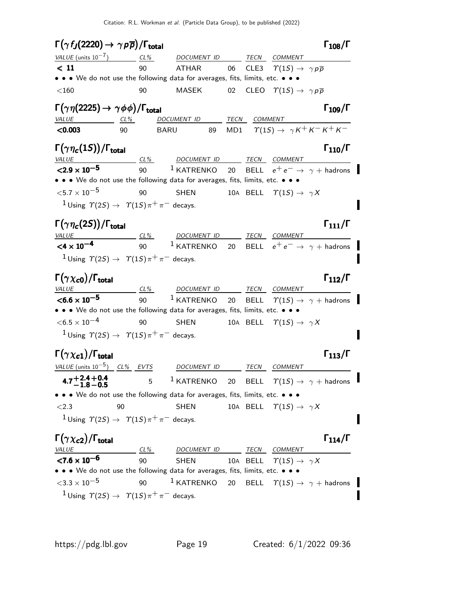| $\Gamma(\gamma f_J(2220) \rightarrow \gamma p \overline{p})/\Gamma_{\text{total}}$                                                   |                   |                                                                                                           |    |                                                                     | $\Gamma_{108}/\Gamma$                                                                      |
|--------------------------------------------------------------------------------------------------------------------------------------|-------------------|-----------------------------------------------------------------------------------------------------------|----|---------------------------------------------------------------------|--------------------------------------------------------------------------------------------|
| VALUE (units $10^{-7}$ ) CL%                                                                                                         |                   | DOCUMENT ID TECN COMMENT                                                                                  |    |                                                                     |                                                                                            |
| < 11                                                                                                                                 | 90                | <b>ATHAR</b>                                                                                              | 06 | CLE3 $\Upsilon(1S) \rightarrow \gamma p \overline{p}$               |                                                                                            |
| • • • We do not use the following data for averages, fits, limits, etc. • • •                                                        |                   |                                                                                                           |    |                                                                     |                                                                                            |
| $<$ 160                                                                                                                              | 90                | MASEK                                                                                                     | 02 | CLEO $\ \ \Upsilon(1S) \rightarrow \ \ \gamma \, p \, \overline{p}$ |                                                                                            |
| $\Gamma(\gamma\eta(2225)\to\gamma\phi\phi)/\Gamma_{\rm total}$<br><u>VALUE</u> CL%                                                   |                   | DOCUMENT ID                                                                                               |    |                                                                     | $\Gamma_{109}/\Gamma$                                                                      |
| < 0.003<br>90                                                                                                                        |                   | <b>BARU</b><br>89                                                                                         |    |                                                                     | $\frac{IECN}{MD1}$ $\frac{COMMENT}{\gamma(1S)} \rightarrow \gamma K^{+} K^{-} K^{+} K^{-}$ |
| $\Gamma(\gamma\eta_c(1S))/\Gamma_{\rm total}$                                                                                        |                   |                                                                                                           |    |                                                                     | $\Gamma_{110}/\Gamma$                                                                      |
| <u>VALUE</u>                                                                                                                         |                   | <u>CL% DOCUMENT ID TECN COMMENT</u>                                                                       |    |                                                                     |                                                                                            |
| ${<}2.9\times10^{-5}$                                                                                                                |                   | 90 $1\,$ KATRENKO 20 BELL $e^+e^- \rightarrow \gamma +$ hadrons                                           |    |                                                                     |                                                                                            |
| • • • We do not use the following data for averages, fits, limits, etc. • • •                                                        |                   |                                                                                                           |    |                                                                     |                                                                                            |
| ${<}5.7\times10^{-5}$                                                                                                                | 90                | <b>SHEN</b>                                                                                               |    | 10A BELL $\Upsilon(1S) \rightarrow \gamma X$                        |                                                                                            |
| $1$ Using $\ \ \mathcal{T}(2S) \rightarrow \ \ \ \mathcal{T}(1S) \pi^+ \pi^-$ decays.                                                |                   |                                                                                                           |    |                                                                     |                                                                                            |
| $\Gamma(\gamma\eta_c(2S))/\Gamma_{\rm total}$                                                                                        |                   |                                                                                                           |    |                                                                     | $\Gamma_{111}/\Gamma$                                                                      |
| <b>VALUE</b>                                                                                                                         |                   | $\frac{CL\%}{90}$ $\frac{DOCUMENT ID}{1}$ $\frac{TECN}{EEL}$ $\frac{COMMENT}{e^+ e^-}$ $\gamma + hadrons$ |    |                                                                     |                                                                                            |
| $<$ 4 $\times$ 10 <sup>-4</sup>                                                                                                      |                   |                                                                                                           |    |                                                                     |                                                                                            |
| $1$ Using $\gamma(2S) \rightarrow \gamma(1S)\pi^{+}\pi^{-}$ decays.                                                                  |                   |                                                                                                           |    |                                                                     |                                                                                            |
| $\Gamma(\gamma \chi_{c0})/\Gamma_{\rm total}$                                                                                        |                   |                                                                                                           |    |                                                                     | $\Gamma_{112}/\Gamma$                                                                      |
| <b>VALUE</b><br>$< 6.6 \times 10^{-5}$                                                                                               | 90                | <u>CL% DOCUMENT ID TECN COMMENT</u>                                                                       |    |                                                                     |                                                                                            |
| $\bullet\,\bullet\,\bullet\,$ We do not use the following data for averages, fits, limits, etc. $\bullet\,\bullet\,\bullet\,\bullet$ |                   |                                                                                                           |    |                                                                     | <sup>1</sup> KATRENKO 20 BELL $\Upsilon(1S) \rightarrow \gamma +$ hadrons                  |
| $<$ 6.5 $\times$ 10 $^{-4}$                                                                                                          | 90                | <b>SHEN</b>                                                                                               |    | 10A BELL $\Upsilon(1S) \rightarrow \gamma X$                        |                                                                                            |
| <sup>1</sup> Using $\gamma(2S) \rightarrow \gamma(1S) \pi^+ \pi^-$ decays.                                                           |                   |                                                                                                           |    |                                                                     |                                                                                            |
|                                                                                                                                      |                   |                                                                                                           |    |                                                                     | $\Gamma_{113}/\Gamma$                                                                      |
| $\Gamma(\gamma \chi_{c1})/\Gamma_{\rm total}$<br><u>VALUE</u> (units $10^{-5}$ ) CL% EVTS                                            |                   | DOCUMENT ID                                                                                               |    | TECN COMMENT                                                        |                                                                                            |
| $4.7 + 2.4 + 0.4 - 1.8 - 0.5$                                                                                                        | 5                 | $1$ KATRENKO                                                                                              | 20 |                                                                     | BELL $\ \ \mathcal{T}(1S) \rightarrow \ \gamma +$ hadrons                                  |
| $\bullet\,\bullet\,\bullet\,$ We do not use the following data for averages, fits, limits, etc. $\bullet\,\bullet\,\bullet\,\bullet$ |                   |                                                                                                           |    |                                                                     |                                                                                            |
| < 2.3<br>90                                                                                                                          |                   | <b>SHEN</b>                                                                                               |    | 10A BELL $\Upsilon(1S) \rightarrow \gamma X$                        |                                                                                            |
| <sup>1</sup> Using $\gamma$ (2S) $\rightarrow$ $\gamma$ (1S) $\pi^{+}\pi^{-}$ decays.                                                |                   |                                                                                                           |    |                                                                     |                                                                                            |
| $\Gamma(\gamma \chi_{c2})/\Gamma_{\rm total}$                                                                                        |                   |                                                                                                           |    |                                                                     | $\Gamma_{114}/\Gamma$                                                                      |
|                                                                                                                                      |                   | DOCUMENT ID _______ TECN COMMENT                                                                          |    |                                                                     |                                                                                            |
| $\frac{VALUE}{< 7.6 \times 10^{-6}}$                                                                                                 | $\frac{CL\%}{90}$ | <b>SHEN</b>                                                                                               |    | 10A BELL $\Upsilon(1S) \rightarrow \gamma X$                        |                                                                                            |
| $\bullet\,\bullet\,\bullet\,$ We do not use the following data for averages, fits, limits, etc. $\bullet\,\bullet\,\bullet\,\bullet$ |                   |                                                                                                           |    |                                                                     |                                                                                            |
| ${<}3.3\times10^{-5}$                                                                                                                | 90                | $^{-1}$ KATRENKO 20 BELL $\varUpsilon(1S) \rightarrow \ \gamma +$ hadrons                                 |    |                                                                     |                                                                                            |
|                                                                                                                                      |                   |                                                                                                           |    |                                                                     |                                                                                            |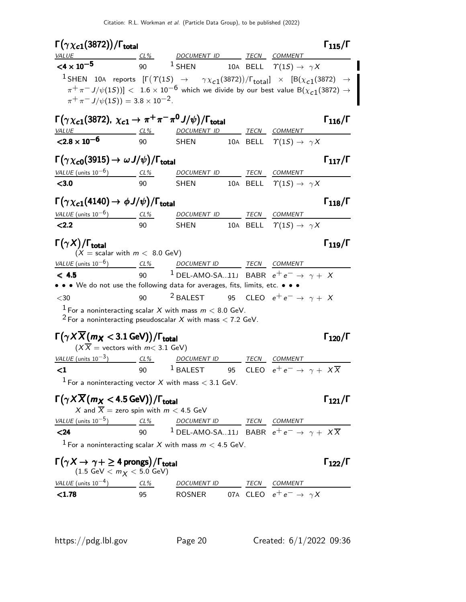| $\Gamma(\gamma \chi_{c1}(3872))/\Gamma_{\rm total}$                                                                                 |    |                                                                            |  | $\Gamma_{115}/\Gamma$ |
|-------------------------------------------------------------------------------------------------------------------------------------|----|----------------------------------------------------------------------------|--|-----------------------|
| $VALUE 21%$ CL% DOCUMENT ID TECN COMMENT                                                                                            |    |                                                                            |  |                       |
| $<$ 4 $\times$ 10 <sup>-5</sup>                                                                                                     |    | 90 $^1$ SHEN 10A BELL $\varUpsilon(1S) \rightarrow \ \gamma X$             |  |                       |
| $^1$ SHEN 10A reports $[\Gamma(\Upsilon(1S) \rightarrow \Upsilon_{c1}(3872))/\Gamma_{total}] \times [B(\chi_{c1}(3872) \rightarrow$ |    |                                                                            |  |                       |
| $\pi^+\pi^-J/\psi(15))] <~1.6\times10^{-6}$ which we divide by our best value B $(\chi_{c1}(3872)\rightarrow$                       |    |                                                                            |  |                       |
| $\pi^+ \pi^- J/\psi(15)$ = 3.8 × 10 <sup>-2</sup> .                                                                                 |    |                                                                            |  |                       |
| $\Gamma(\gamma \chi_{c1}(3872), \ \chi_{c1} \to \pi^+ \pi^- \pi^0 J/\psi)/\Gamma_{\rm total}$                                       |    |                                                                            |  | $\Gamma_{116}/\Gamma$ |
| VALUE CL%                                                                                                                           |    | DOCUMENT ID TECN COMMENT                                                   |  |                       |
| $< 2.8 \times 10^{-6}$                                                                                                              | 90 | SHEN 10A BELL $\Upsilon(1S) \rightarrow \gamma X$                          |  |                       |
|                                                                                                                                     |    |                                                                            |  |                       |
| $\Gamma(\gamma \chi_{\bf c0}(3915) \to \omega J/\psi)/\Gamma_{\bf total}$                                                           |    |                                                                            |  | $\Gamma_{117}/\Gamma$ |
| <u>VALUE (units 10<sup>-6</sup>)</u> <u>CL%</u><br><b>&lt;3.0</b> 90                                                                |    | DOCUMENT ID TECN COMMENT                                                   |  |                       |
| $3.0$                                                                                                                               |    | SHEN 10A BELL $\varUpsilon(1S) \rightarrow \gamma X$                       |  |                       |
| $\Gamma(\gamma \chi_{c1}(4140) \rightarrow \phi J/\psi)/\Gamma_{\rm total}$                                                         |    |                                                                            |  | $\Gamma_{118}/\Gamma$ |
| $VALUE$ (units $10^{-6}$ ) $CL\%$ DOCUMENT ID TECN COMMENT                                                                          |    |                                                                            |  |                       |
| < 2.2                                                                                                                               | 90 | SHEN 10A BELL $\Upsilon(1S) \rightarrow \gamma X$                          |  |                       |
|                                                                                                                                     |    |                                                                            |  |                       |
| $\Gamma(\gamma X)/\Gamma_{\rm total}$<br>$(X = \text{scalar with } m < 8.0 \text{ GeV})$                                            |    |                                                                            |  | $\Gamma_{119}/\Gamma$ |
| $VALUE$ (units $10^{-6}$ ) $CL\%$ DOCUMENT ID TECN COMMENT                                                                          |    |                                                                            |  |                       |
| < 4.5                                                                                                                               |    | 90 <sup>1</sup> DEL-AMO-SA11J BABR $e^+e^- \rightarrow \gamma + X$         |  |                       |
| • • • We do not use the following data for averages, fits, limits, etc. • • •                                                       |    |                                                                            |  |                       |
| $30$                                                                                                                                | 90 | $2$ BALEST 95 CLEO $e^+e^- \rightarrow \gamma + X$                         |  |                       |
| $^1$ For a noninteracting scalar X with mass $m < 8.0$ GeV.                                                                         |    |                                                                            |  |                       |
| <sup>2</sup> For a noninteracting pseudoscalar X with mass $<$ 7.2 GeV.                                                             |    |                                                                            |  |                       |
| $\Gamma(\gamma X \overline{X}(m_X < 3.1 \,\text{GeV})) / \Gamma_{\text{total}}$                                                     |    |                                                                            |  | $\Gamma_{120}/\Gamma$ |
| $(X\overline{X})$ = vectors with $m< 3.1$ GeV)                                                                                      |    |                                                                            |  |                       |
| $VALUE$ (units $10^{-3}$ ) CL% DOCUMENT ID TECN COMMENT                                                                             |    |                                                                            |  |                       |
| $\leq$ 1                                                                                                                            |    | 90 <sup>1</sup> BALEST 95 CLEO $e^+e^- \rightarrow \gamma + X\overline{X}$ |  |                       |
| $^1$ For a noninteracting vector $X$ with mass $< 3.1$ GeV.                                                                         |    |                                                                            |  |                       |
| $\Gamma(\gamma X \overline{X}(m_X < 4.5 \,\text{GeV})) / \Gamma_{\text{total}}$                                                     |    |                                                                            |  | $\Gamma_{121}/\Gamma$ |
| X and $\overline{X}$ = zero spin with $m < 4.5$ GeV                                                                                 |    |                                                                            |  |                       |
| $VALUE (units 10-5)$ CL%                                                                                                            |    | DOCUMENT ID TECN COMMENT                                                   |  |                       |
| $24$                                                                                                                                | 90 | $^1$ DEL-AMO-SA11J BABR $e^+e^- \rightarrow \gamma + X \overline{X}$       |  |                       |
| <sup>1</sup> For a noninteracting scalar X with mass $m <$ 4.5 GeV.                                                                 |    |                                                                            |  |                       |
| $\Gamma(\gamma X \to \gamma + \geq 4 \text{ prongs})/\Gamma_{\text{total}}$<br>$(1.5 \text{ GeV} < m_X < 5.0 \text{ GeV})$          |    |                                                                            |  | $\Gamma_{122}/\Gamma$ |
| $VALUE$ (units $10^{-4}$ ) CL% DOCUMENT ID TECN COMMENT                                                                             |    |                                                                            |  |                       |
| < 1.78                                                                                                                              | 95 | ROSNER 07A CLEO $e^+e^- \rightarrow \gamma X$                              |  |                       |
|                                                                                                                                     |    |                                                                            |  |                       |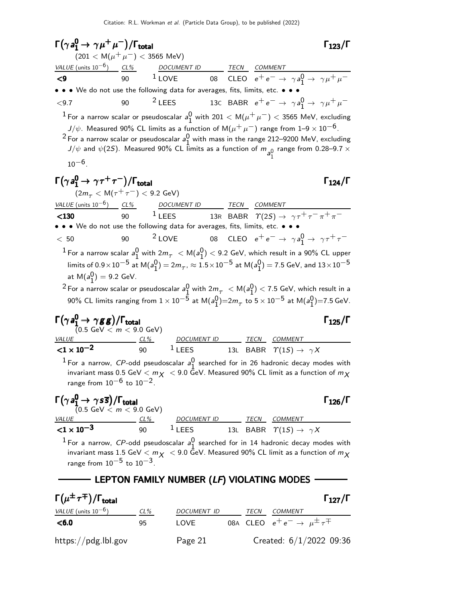| $\Gamma(\gamma a_1^0 \rightarrow \gamma \mu^+ \mu^-)/\Gamma_{\rm total}$<br>$(201 < M(\mu^+ \mu^-) < 3565 \text{ MeV})$                                                                                                                 |        |                                             |             |                                                                                                                           | $\Gamma_{123}/\Gamma$                                                                                                                                                                                                                                                                                                                                                                                                                        |
|-----------------------------------------------------------------------------------------------------------------------------------------------------------------------------------------------------------------------------------------|--------|---------------------------------------------|-------------|---------------------------------------------------------------------------------------------------------------------------|----------------------------------------------------------------------------------------------------------------------------------------------------------------------------------------------------------------------------------------------------------------------------------------------------------------------------------------------------------------------------------------------------------------------------------------------|
|                                                                                                                                                                                                                                         |        |                                             |             |                                                                                                                           |                                                                                                                                                                                                                                                                                                                                                                                                                                              |
| $\frac{\text{VALU E (units 10}^{-6})}{\text{C9}} = \frac{\text{CL\%}}{90}$ $\frac{\text{DOCUMENT ID}}{1 \text{LOVE}} = \frac{\text{TECN}}{08} = \frac{\text{COMMENT}}{e^+ e^-} \rightarrow \gamma a_1^0 \rightarrow \gamma \mu^+ \mu^-$ |        |                                             |             |                                                                                                                           |                                                                                                                                                                                                                                                                                                                                                                                                                                              |
| • • • We do not use the following data for averages, fits, limits, etc. • • •                                                                                                                                                           |        |                                             |             |                                                                                                                           |                                                                                                                                                                                                                                                                                                                                                                                                                                              |
| ${<}9.7$                                                                                                                                                                                                                                | 90     |                                             |             |                                                                                                                           | <sup>2</sup> LEES 13C BABR $e^+e^- \rightarrow \gamma a_1^0 \rightarrow \gamma \mu^+ \mu^-$                                                                                                                                                                                                                                                                                                                                                  |
| $10^{-6}$ .                                                                                                                                                                                                                             |        |                                             |             |                                                                                                                           | $^1$ For a narrow scalar or pseudoscalar $a_1^0$ with 201 $<$ M $(\mu^+ \mu^-)$ $<$ 3565 MeV, excluding<br>J/ $\psi$ . Measured 90% CL limits as a function of M( $\mu^+ \mu^-$ ) range from 1–9 $\times$ 10 <sup>-6</sup> .<br>$^2$ For a narrow scalar or pseudoscalar $a_1^0$ with mass in the range 212–9200 MeV, excluding<br>J/ $\psi$ and $\psi(2S)$ . Measured 90% CL limits as a function of $m_{d^0}$ range from 0.28–9.7 $\times$ |
| $\Gamma(\gamma a_1^0 \rightarrow \gamma \tau^+ \tau^-)/\Gamma_{\rm total}$<br>$(2m_{\tau} < M(\tau^+\tau^-) < 9.2$ GeV)                                                                                                                 |        |                                             |             |                                                                                                                           | $\Gamma_{124}/\Gamma$                                                                                                                                                                                                                                                                                                                                                                                                                        |
| $\frac{\text{VALU E (units 10}^{-6})}{\text{100}} \frac{CL\%}{90} \frac{DOCUMENT ID}{1 \text{LEES}} \frac{TECN}{13R} \frac{COMMENT}{BABR} \frac{COMMENT}{T(2S) \rightarrow \gamma \tau^+ \tau^- \pi^+ \pi^-}$                           |        |                                             |             |                                                                                                                           |                                                                                                                                                                                                                                                                                                                                                                                                                                              |
| • • • We do not use the following data for averages, fits, limits, etc. • • •                                                                                                                                                           |        |                                             |             |                                                                                                                           |                                                                                                                                                                                                                                                                                                                                                                                                                                              |
| $\,<\,50$                                                                                                                                                                                                                               | 90     |                                             |             |                                                                                                                           | <sup>2</sup> LOVE 08 CLEO $e^+e^- \rightarrow \gamma a_1^0 \rightarrow \gamma \tau^+ \tau^-$                                                                                                                                                                                                                                                                                                                                                 |
| at $M(a_1^0) = 9.2$ GeV.                                                                                                                                                                                                                |        |                                             |             |                                                                                                                           | limits of 0.9 $\times$ $10^{-5}$ at M( $a_1^0$ ) $=$ $2m_\tau$ , $\approx 1.5\times$ $10^{-5}$ at M( $a_1^0$ ) $=$ 7.5 GeV, and $13\times10^{-5}$<br>$^2$ For a narrow scalar or pseudoscalar $a_1^0$ with 2 $m_\tau^-\,<$ M( $a_1^0)$ $<$ 7.5 GeV, which result in a<br>90% CL limits ranging from $1\times10^{-5}$ at M( $a_1^0$ )=2 $m_\tau$ to $5\times10^{-5}$ at M( $a_1^0$ )=7.5 GeV.                                                 |
| $\Gamma(\gamma a_1^0 \rightarrow \gamma g g)/\Gamma_{\rm total}$<br>$(0.5 \text{ GeV} < m < 9.0 \text{ GeV})$                                                                                                                           |        |                                             |             |                                                                                                                           | $\Gamma_{125}/\Gamma$                                                                                                                                                                                                                                                                                                                                                                                                                        |
| VALUE $\frac{CL\%}{>1 \times 10^{-2}}$ $\frac{CL\%}{90}$ $\frac{DOCUMENT ID}{LEES}$ $\frac{IECN}{13L}$ BABR $\gamma(1S) \rightarrow \gamma X$                                                                                           |        |                                             |             |                                                                                                                           |                                                                                                                                                                                                                                                                                                                                                                                                                                              |
|                                                                                                                                                                                                                                         |        |                                             |             |                                                                                                                           |                                                                                                                                                                                                                                                                                                                                                                                                                                              |
| range from $10^{-6}$ to $10^{-2}$ .                                                                                                                                                                                                     |        |                                             |             |                                                                                                                           | $1$ For a narrow, CP-odd pseudoscalar $a_1^0$ searched for in 26 hadronic decay modes with<br>invariant mass 0.5 GeV $< m_X <$ 9.0 GeV. Measured 90% CL limit as a function of $m_X$                                                                                                                                                                                                                                                         |
| $\Gamma(\gamma a_1^0 \rightarrow \gamma s \overline{s})/\Gamma_{\text{total}}$<br>$(0.5 \text{ GeV} < m < 9.0 \text{ GeV})$                                                                                                             |        |                                             |             |                                                                                                                           | $\Gamma_{126}/\Gamma$                                                                                                                                                                                                                                                                                                                                                                                                                        |
| VALUE $\frac{CL\%}{.00}$                                                                                                                                                                                                                |        |                                             |             | $\frac{DOCUMENT ID}{1 \text{LEES}}$ $\frac{TECN}{13L}$ $\frac{COMMENT}{BABR}$ $\frac{TECN}{T(1S)}$ $\rightarrow \gamma X$ |                                                                                                                                                                                                                                                                                                                                                                                                                                              |
| range from $10^{-5}$ to $10^{-3}$ .                                                                                                                                                                                                     |        |                                             |             |                                                                                                                           | $^1$ For a narrow, CP-odd pseudoscalar $a_1^0$ searched for in 14 hadronic decay modes with<br>invariant mass 1.5 GeV $< m_X <$ 9.0 GeV. Measured 90% CL limit as a function of $m_X$                                                                                                                                                                                                                                                        |
| $\Gamma(\mu^{\pm}\tau^{\mp})/\Gamma_{\rm total}$                                                                                                                                                                                        |        | LEPTON FAMILY NUMBER (LF) VIOLATING MODES - |             |                                                                                                                           | $\Gamma_{127}/\Gamma$                                                                                                                                                                                                                                                                                                                                                                                                                        |
| VALUE (units $10^{-6}$ )                                                                                                                                                                                                                | $CL\%$ |                                             | DOCUMENT ID |                                                                                                                           | $\frac{\text{TECN}}{\text{OBA}} \xrightarrow{\text{CDMMENT}} \frac{\text{COMMENT}}{e^+e^- \rightarrow \mu^{\pm} \tau^{\mp}}$                                                                                                                                                                                                                                                                                                                 |
| < 6.0                                                                                                                                                                                                                                   | 95     | LOVE                                        |             |                                                                                                                           |                                                                                                                                                                                                                                                                                                                                                                                                                                              |

https://pdg.lbl.gov Page 21 Created: 6/1/2022 09:36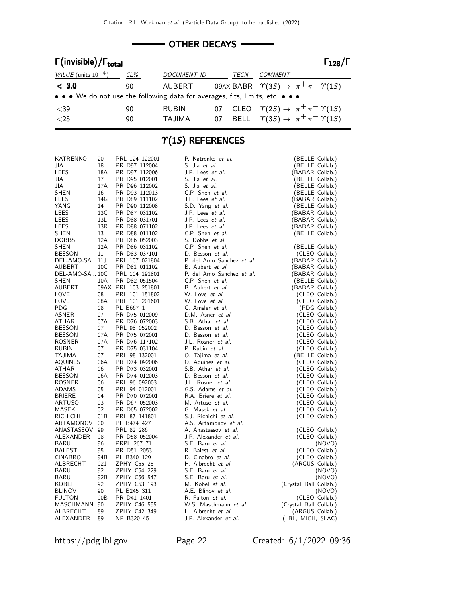# - OTHER DECAYS

-

| $\Gamma(\text{invisible})/\Gamma_\text{total}$                                | $\Gamma_{128}/\Gamma$ |                    |      |         |                                                                       |
|-------------------------------------------------------------------------------|-----------------------|--------------------|------|---------|-----------------------------------------------------------------------|
| VALUE (units $10^{-4}$ )                                                      | $CL\%$                | <b>DOCUMENT ID</b> | TECN | COMMENT |                                                                       |
| $<$ 3.0                                                                       | 90                    | AUBERT             |      |         | 09AX BABR $\ \ \Upsilon(35) \rightarrow \ \pi^+ \pi^- \ \Upsilon(15)$ |
| • • • We do not use the following data for averages, fits, limits, etc. • • • |                       |                    |      |         |                                                                       |
| $<$ 39                                                                        | 90                    | <b>RUBIN</b>       |      |         | 07 CLEO $\Upsilon(2S) \rightarrow \pi^+ \pi^- \Upsilon(1S)$           |
| $25$                                                                          | 90                    | <b>TAJIMA</b>      |      |         | 07 BELL $\Upsilon(3S) \rightarrow \pi^+ \pi^- \Upsilon(1S)$           |
|                                                                               |                       |                    |      |         |                                                                       |

# $\Upsilon(1S)$  REFERENCES

| KATRENKO        | 20              | PRL 124 122001      | P. Katrenko et al.        | (BELLE Collab.)        |
|-----------------|-----------------|---------------------|---------------------------|------------------------|
| JIA.            | 18              | PR D97 112004       | S. Jia et al.             | (BELLE Collab.)        |
| LEES            | 18A             | PR D97 112006       | J.P. Lees et al.          | (BABAR Collab.)        |
| JIA             | 17              | PR D95 012001       | S. Jia et al.             | (BELLE Collab.)        |
| JIA             | 17A             | PR D96 112002       | S. Jia et al.             | (BELLE Collab.)        |
| SHEN            | 16              | PR D93 112013       | C.P. Shen et al.          | (BELLE Collab.)        |
| LEES            | 14G             | PR D89 111102       | J.P. Lees et al.          | (BABAR Collab.)        |
| YANG            | 14              | PR D90 112008       | S.D. Yang et al.          | (BELLE Collab.)        |
| LEES            | 13C             | PR D87 031102       | J.P. Lees et al.          | (BABAR Collab.)        |
| LEES            | 13L             | PR D88 031701       | J.P. Lees et al.          | (BABAR Collab.)        |
| LEES            | 13R             | PR D88 071102       | J.P. Lees et al.          | (BABAR Collab.)        |
| <b>SHEN</b>     | 13              | PR D88 011102       | C.P. Shen et al.          | (BELLE Collab.)        |
| <b>DOBBS</b>    | 12A             | PR D86 052003       | S. Dobbs et al.           |                        |
| <b>SHEN</b>     | 12A             | PR D86 031102       | C.P. Shen et al.          | (BELLE Collab.)        |
| <b>BESSON</b>   | 11              | PR D83 037101       | D. Besson et al.          | (CLEO Collab.)         |
| DEL-AMO-SA 11J  |                 | PRL 107 021804      | P. del Amo Sanchez et al. | (BABAR Collab.)        |
| AUBERT          | 10 <sup>C</sup> | PR D81 011102       | B. Aubert et al.          | (BABAR Collab.)        |
| DEL-AMO-SA 10C  |                 | PRL 104 191801      | P. del Amo Sanchez et al. | (BABAR Collab.)        |
| SHEN            | 10A             | PR D82 051504       | C.P. Shen et al.          | (BELLE Collab.)        |
| <b>AUBERT</b>   |                 | 09AX PRL 103 251801 | B. Aubert et al.          | (BABAR Collab.)        |
| LOVE            | 08              | PRL 101 151802      | W. Love et al.            | (CLEO Collab.)         |
| LOVE            | 08A             | PRL 101 201601      | W. Love et al.            | (CLEO Collab.)         |
| <b>PDG</b>      | 08              | PL B667 1           | C. Amsler et al.          | (PDG Collab.)          |
| ASNER           | 07              | PR D75 012009       | D.M. Asner et al.         | (CLEO Collab.)         |
| ATHAR           | 07A             | PR D76 072003       | S.B. Athar et al.         | (CLEO Collab.)         |
| <b>BESSON</b>   | 07              | PRL 98 052002       | D. Besson et al.          | (CLEO Collab.)         |
| <b>BESSON</b>   | 07A             | PR D75 072001       | D. Besson et al.          | (CLEO Collab.)         |
| <b>ROSNER</b>   | 07A             | PR D76 117102       | J.L. Rosner et al.        | (CLEO Collab.)         |
| <b>RUBIN</b>    | 07              | PR D75 031104       | P. Rubin et al.           | (CLEO Collab.)         |
| <b>TAJIMA</b>   | 07              | PRL 98 132001       | O. Tajima et al.          | (BELLE Collab.)        |
| AQUINES         | 06A             | PR D74 092006       | O. Aquines et al.         | (CLEO Collab.)         |
| ATHAR           | 06              | PR D73 032001       | S.B. Athar et al.         | (CLEO Collab.)         |
| <b>BESSON</b>   | 06A             | PR D74 012003       | D. Besson et al.          | (CLEO Collab.)         |
| <b>ROSNER</b>   | 06              | PRL 96 092003       | J.L. Rosner et al.        | (CLEO Collab.)         |
| <b>ADAMS</b>    | 05              | PRL 94 012001       | G.S. Adams et al.         | (CLEO Collab.)         |
| <b>BRIERE</b>   | 04              | PR D70 072001       | R.A. Briere et al.        | (CLEO Collab.)         |
| ARTUSO          | 03              | PR D67 052003       | M. Artuso et al.          | (CLEO Collab.)         |
| MASEK           | 02              | PR D65 072002       | G. Masek <i>et al.</i>    | (CLEO Collab.)         |
| <b>RICHICHI</b> | 01B             | PRL 87 141801       | S.J. Richichi et al.      | (CLEO Collab.)         |
| ARTAMONOV       | 00              | PL B474 427         | A.S. Artamonov et al.     |                        |
| ANASTASSOV 99   |                 | PRL 82 286          | A. Anastassov et al.      | (CLEO Collab.)         |
| ALEXANDER       | 98              | PR D58 052004       | J.P. Alexander et al.     | (CLEO Collab.)         |
| <b>BARU</b>     | 96              | PRPL 267 71         | S.E. Baru et al.          | (NOVO)                 |
| <b>BALEST</b>   | 95              | PR D51 2053         | R. Balest et al.          | (CLEO Collab.)         |
| <b>CINABRO</b>  | 94B             | PL B340 129         | D. Cinabro et al.         | (CLEO Collab.)         |
| ALBRECHT        | 92J             | ZPHY C55 25         | H. Albrecht et al.        | (ARGUS Collab.)        |
| <b>BARU</b>     | 92              | ZPHY C54 229        | S.E. Baru et al.          | (NOVO)                 |
| <b>BARU</b>     | 92B             | ZPHY C56 547        | S.E. Baru et al.          | (NOVO)                 |
| KOBEL           | 92              | ZPHY C53 193        | M. Kobel et al.           | (Crystal Ball Collab.) |
| <b>BLINOV</b>   | 90              | PL B245 311         | A.E. Blinov et al.        | (NOVO)                 |
| <b>FULTON</b>   | 90 <sub>B</sub> | PR D41 1401         | R. Fulton et al.          | (CLEO Collab.)         |
| MASCHMANN 90    |                 | ZPHY C46 555        | W.S. Maschmann et al.     | (Crystal Ball Collab.) |
| ALBRECHT        | 89              | ZPHY C42 349        | H. Albrecht et al.        | (ARGUS Collab.)        |
| ALEXANDER       | 89              | NP B320 45          | J.P. Alexander et al.     | (LBL, MICH, SLAC)      |
|                 |                 |                     |                           |                        |

https://pdg.lbl.gov Page 22 Created: 6/1/2022 09:36